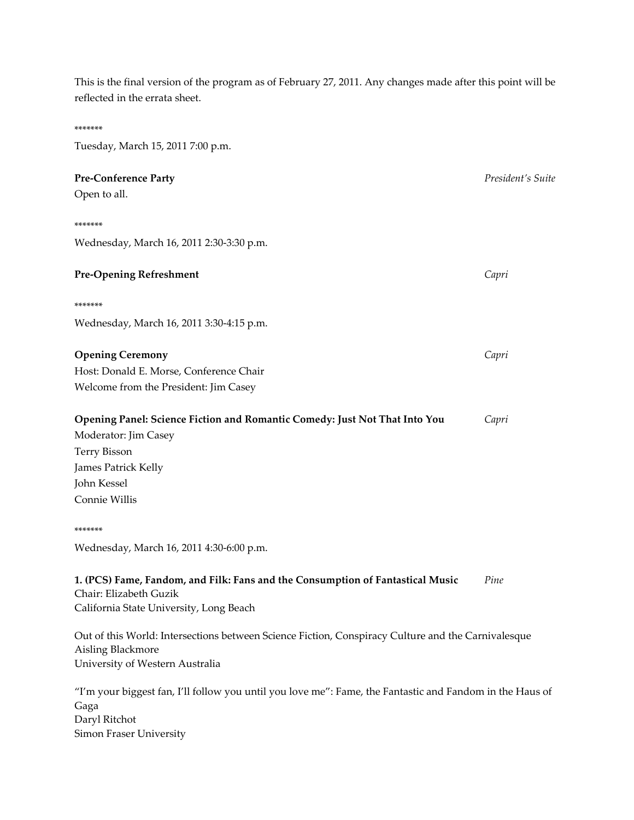This is the final version of the program as of February 27, 2011. Any changes made after this point will be reflected in the errata sheet.

# \*\*\*\*\*\*\* Tuesday, March 15, 2011 7:00 p.m. **Pre‐Conference Party** *President's Suite* Open to all. \*\*\*\*\*\*\* Wednesday, March 16, 2011 2:30‐3:30 p.m. **Pre‐Opening Refreshment** *Capri*  \*\*\*\*\*\*\* Wednesday, March 16, 2011 3:30‐4:15 p.m. **Opening Ceremony** *Capri* Host: Donald E. Morse, Conference Chair Welcome from the President: Jim Casey **Opening Panel: Science Fiction and Romantic Comedy: Just Not That Into You**  *Capri* Moderator: Jim Casey Terry Bisson James Patrick Kelly John Kessel Connie Willis \*\*\*\*\*\*\* Wednesday, March 16, 2011 4:30‐6:00 p.m. **1. (PCS) Fame, Fandom, and Filk: Fans and the Consumption of Fantastical Music** *Pine* Chair: Elizabeth Guzik California State University, Long Beach Out of this World: Intersections between Science Fiction, Conspiracy Culture and the Carnivalesque Aisling Blackmore

"I'm your biggest fan, I'll follow you until you love me": Fame, the Fantastic and Fandom in the Haus of Gaga Daryl Ritchot Simon Fraser University

University of Western Australia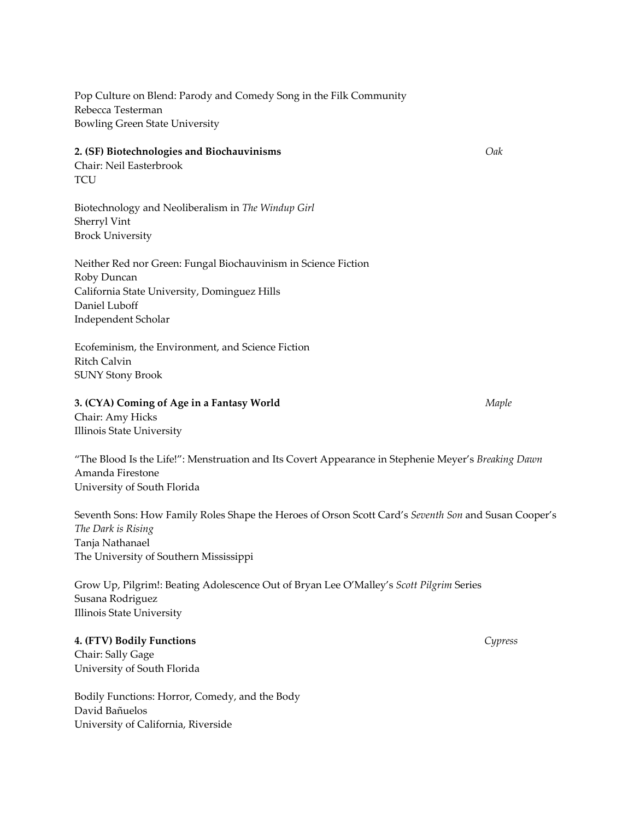Pop Culture on Blend: Parody and Comedy Song in the Filk Community Rebecca Testerman Bowling Green State University

#### **2. (SF) Biotechnologies and Biochauvinisms** *Oak*

Chair: Neil Easterbrook **TCU** 

Biotechnology and Neoliberalism in *The Windup Girl* Sherryl Vint Brock University

Neither Red nor Green: Fungal Biochauvinism in Science Fiction Roby Duncan California State University, Dominguez Hills Daniel Luboff Independent Scholar

Ecofeminism, the Environment, and Science Fiction Ritch Calvin SUNY Stony Brook

#### **3. (CYA) Coming of Age in a Fantasy World** *Maple*

Chair: Amy Hicks Illinois State University

"The Blood Is the Life!": Menstruation and Its Covert Appearance in Stephenie Meyer's *Breaking Dawn* Amanda Firestone University of South Florida

Seventh Sons: How Family Roles Shape the Heroes of Orson Scott Card's *Seventh Son* and Susan Cooper's *The Dark is Rising* Tanja Nathanael The University of Southern Mississippi

Grow Up, Pilgrim!: Beating Adolescence Out of Bryan Lee O'Malley's *Scott Pilgrim* Series Susana Rodriguez Illinois State University

## **4. (FTV) Bodily Functions**  *Cypress*

Chair: Sally Gage University of South Florida

Bodily Functions: Horror, Comedy, and the Body David Bañuelos University of California, Riverside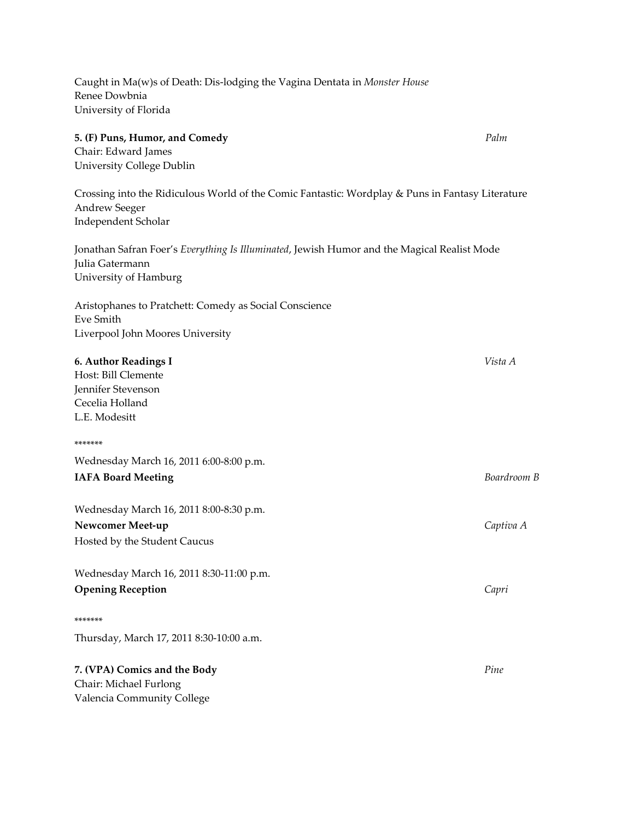Caught in Ma(w)s of Death: Dis‐lodging the Vagina Dentata in *Monster House* Renee Dowbnia University of Florida

# **5. (F) Puns, Humor, and Comedy** *Palm*

Chair: Edward James University College Dublin

Crossing into the Ridiculous World of the Comic Fantastic: Wordplay & Puns in Fantasy Literature Andrew Seeger Independent Scholar

Jonathan Safran Foer's *Everything Is Illuminated*, Jewish Humor and the Magical Realist Mode Julia Gatermann University of Hamburg

Aristophanes to Pratchett: Comedy as Social Conscience Eve Smith Liverpool John Moores University

| 6. Author Readings I                     | Vista A     |
|------------------------------------------|-------------|
| Host: Bill Clemente                      |             |
| Jennifer Stevenson                       |             |
| Cecelia Holland                          |             |
| L.E. Modesitt                            |             |
| *******                                  |             |
| Wednesday March 16, 2011 6:00-8:00 p.m.  |             |
| <b>IAFA Board Meeting</b>                | Boardroom B |
| Wednesday March 16, 2011 8:00-8:30 p.m.  |             |
| Newcomer Meet-up                         | Captiva A   |
| Hosted by the Student Caucus             |             |
| Wednesday March 16, 2011 8:30-11:00 p.m. |             |
| <b>Opening Reception</b>                 | Capri       |
| *******                                  |             |
| Thursday, March 17, 2011 8:30-10:00 a.m. |             |
| 7. (VPA) Comics and the Body             | Pine        |
| Chair: Michael Furlong                   |             |
| Valencia Community College               |             |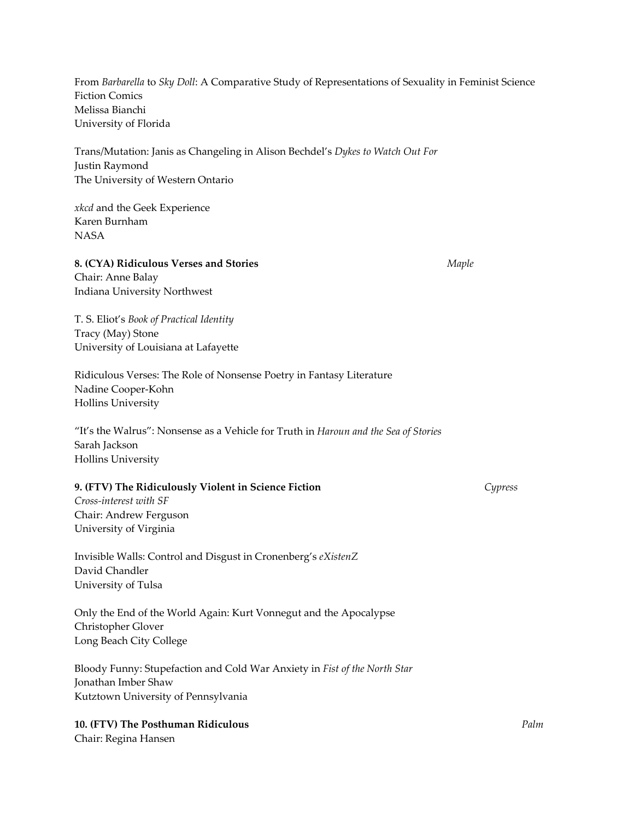From *Barbarella* to *Sky Doll*: A Comparative Study of Representations of Sexuality in Feminist Science Fiction Comics Melissa Bianchi University of Florida

Trans/Mutation: Janis as Changeling in Alison Bechdel's *Dykes to Watch Out For* Justin Raymond The University of Western Ontario

*xkcd* and the Geek Experience Karen Burnham NASA

#### **8. (CYA) Ridiculous Verses and Stories**  *Maple*

Chair: Anne Balay Indiana University Northwest

T. S. Eliot's *Book of Practical Identity* Tracy (May) Stone University of Louisiana at Lafayette

Ridiculous Verses: The Role of Nonsense Poetry in Fantasy Literature Nadine Cooper‐Kohn Hollins University

"It's the Walrus": Nonsense as a Vehicle for Truth in *Haroun and the Sea of Stories* Sarah Jackson Hollins University

#### **9. (FTV) The Ridiculously Violent in Science Fiction**  *Cypress*

*Cross‐interest with SF* Chair: Andrew Ferguson University of Virginia

Invisible Walls: Control and Disgust in Cronenberg's *eXistenZ* David Chandler University of Tulsa

Only the End of the World Again: Kurt Vonnegut and the Apocalypse Christopher Glover Long Beach City College

Bloody Funny: Stupefaction and Cold War Anxiety in *Fist of the North Star* Jonathan Imber Shaw Kutztown University of Pennsylvania

**10. (FTV) The Posthuman Ridiculous**  *Palm* Chair: Regina Hansen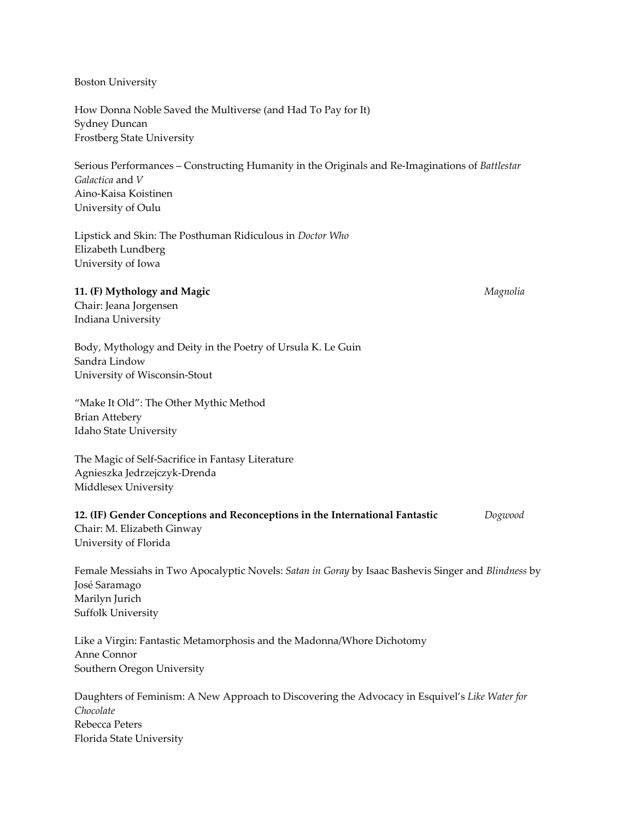Boston University

How Donna Noble Saved the Multiverse (and Had To Pay for It) Sydney Duncan Frostberg State University

Serious Performances – Constructing Humanity in the Originals and Re‐Imaginations of *Battlestar Galactica* and *V* Aino‐Kaisa Koistinen University of Oulu

Lipstick and Skin: The Posthuman Ridiculous in *Doctor Who* Elizabeth Lundberg University of Iowa

#### **11. (F) Mythology and Magic**  *Magnolia*

Chair: Jeana Jorgensen Indiana University

Body, Mythology and Deity in the Poetry of Ursula K. Le Guin Sandra Lindow University of Wisconsin‐Stout

"Make It Old": The Other Mythic Method Brian Attebery Idaho State University

The Magic of Self‐Sacrifice in Fantasy Literature Agnieszka Jedrzejczyk‐Drenda Middlesex University

# **12. (IF) Gender Conceptions and Reconceptions in the International Fantastic**  *Dogwood* Chair: M. Elizabeth Ginway University of Florida

Female Messiahs in Two Apocalyptic Novels: *Satan in Goray* by Isaac Bashevis Singer and *Blindness* by José Saramago Marilyn Jurich Suffolk University

Like a Virgin: Fantastic Metamorphosis and the Madonna/Whore Dichotomy Anne Connor Southern Oregon University

Daughters of Feminism: A New Approach to Discovering the Advocacy in Esquivel's *Like Water for Chocolate* Rebecca Peters Florida State University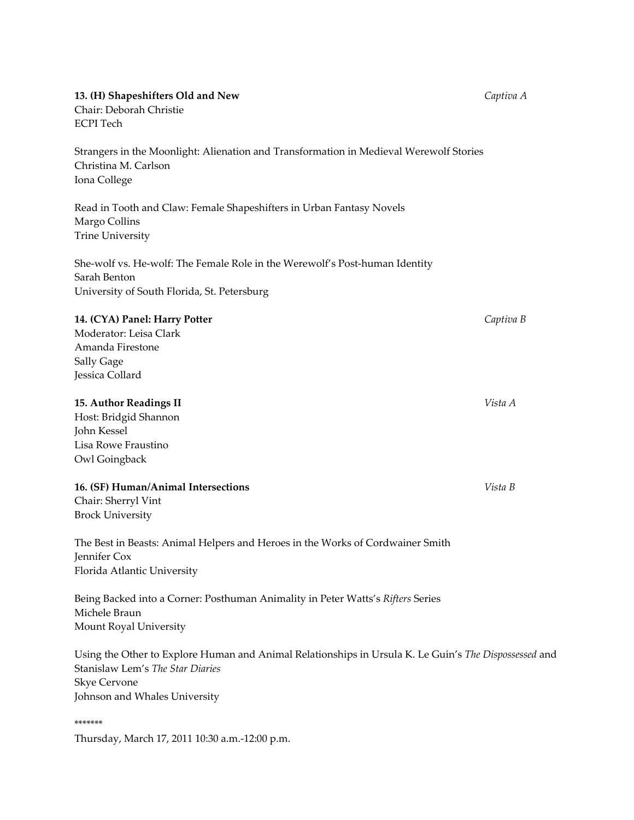| 13. (H) Shapeshifters Old and New<br>Chair: Deborah Christie<br><b>ECPI</b> Tech                                                                                                                  | Captiva A |
|---------------------------------------------------------------------------------------------------------------------------------------------------------------------------------------------------|-----------|
| Strangers in the Moonlight: Alienation and Transformation in Medieval Werewolf Stories<br>Christina M. Carlson<br>Iona College                                                                    |           |
| Read in Tooth and Claw: Female Shapeshifters in Urban Fantasy Novels<br>Margo Collins<br><b>Trine University</b>                                                                                  |           |
| She-wolf vs. He-wolf: The Female Role in the Werewolf's Post-human Identity<br>Sarah Benton<br>University of South Florida, St. Petersburg                                                        |           |
| 14. (CYA) Panel: Harry Potter<br>Moderator: Leisa Clark<br>Amanda Firestone                                                                                                                       | Captiva B |
| Sally Gage<br>Jessica Collard                                                                                                                                                                     |           |
| 15. Author Readings II<br>Host: Bridgid Shannon<br>John Kessel<br>Lisa Rowe Fraustino<br>Owl Goingback                                                                                            | Vista A   |
| 16. (SF) Human/Animal Intersections<br>Chair: Sherryl Vint<br><b>Brock University</b>                                                                                                             | Vista B   |
| The Best in Beasts: Animal Helpers and Heroes in the Works of Cordwainer Smith<br>Jennifer Cox<br>Florida Atlantic University                                                                     |           |
| Being Backed into a Corner: Posthuman Animality in Peter Watts's Rifters Series<br>Michele Braun<br>Mount Royal University                                                                        |           |
| Using the Other to Explore Human and Animal Relationships in Ursula K. Le Guin's The Dispossessed and<br>Stanislaw Lem's The Star Diaries<br><b>Skye Cervone</b><br>Johnson and Whales University |           |
| *******<br>Thursday, March 17, 2011 10:30 a.m.-12:00 p.m.                                                                                                                                         |           |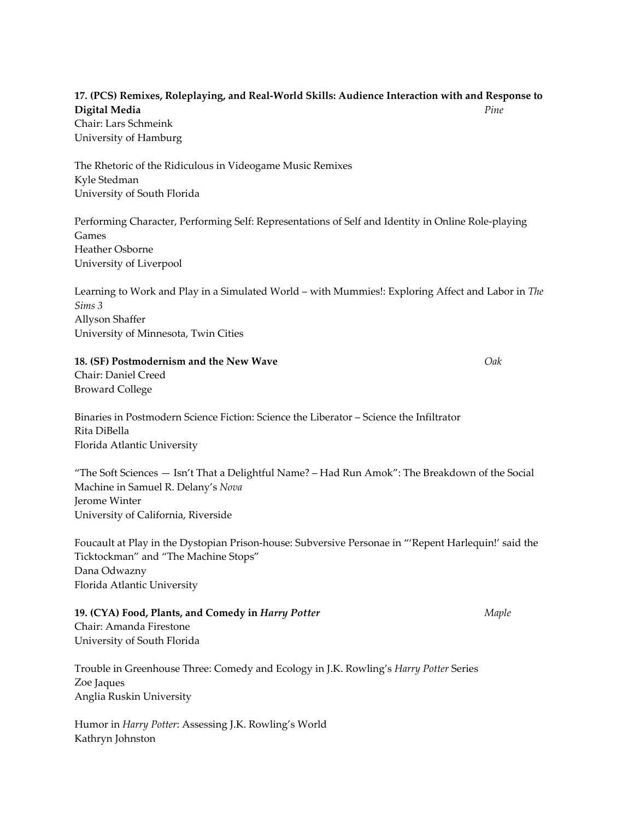# **17. (PCS) Remixes, Roleplaying, and Real‐World Skills: Audience Interaction with and Response to Digital Media**  *Pine*

Chair: Lars Schmeink University of Hamburg

The Rhetoric of the Ridiculous in Videogame Music Remixes Kyle Stedman University of South Florida

Performing Character, Performing Self: Representations of Self and Identity in Online Role‐playing Games Heather Osborne University of Liverpool

Learning to Work and Play in a Simulated World – with Mummies!: Exploring Affect and Labor in *The Sims 3* Allyson Shaffer University of Minnesota, Twin Cities

**18. (SF) Postmodernism and the New Wave**  *Oak*

Chair: Daniel Creed Broward College

Binaries in Postmodern Science Fiction: Science the Liberator – Science the Infiltrator Rita DiBella Florida Atlantic University

"The Soft Sciences — Isn't That a Delightful Name? – Had Run Amok": The Breakdown of the Social Machine in Samuel R. Delany's *Nova* Jerome Winter University of California, Riverside

Foucault at Play in the Dystopian Prison‐house: Subversive Personae in "'Repent Harlequin!' said the Ticktockman" and "The Machine Stops" Dana Odwazny Florida Atlantic University

**19. (CYA) Food, Plants, and Comedy in** *Harry Potter Maple* Chair: Amanda Firestone

University of South Florida

Trouble in Greenhouse Three: Comedy and Ecology in J.K. Rowling's *Harry Potter* Series Zoe Jaques Anglia Ruskin University

Humor in *Harry Potter*: Assessing J.K. Rowling's World Kathryn Johnston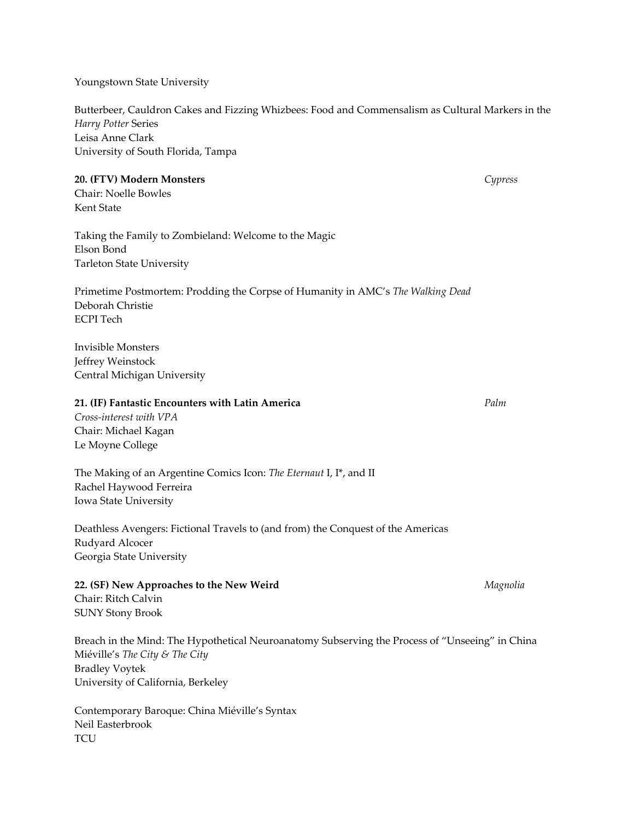Youngstown State University

Butterbeer, Cauldron Cakes and Fizzing Whizbees: Food and Commensalism as Cultural Markers in the *Harry Potter* Series Leisa Anne Clark University of South Florida, Tampa

## **20. (FTV) Modern Monsters** *Cypress*

Chair: Noelle Bowles Kent State

Taking the Family to Zombieland: Welcome to the Magic Elson Bond Tarleton State University

Primetime Postmortem: Prodding the Corpse of Humanity in AMC's *The Walking Dead* Deborah Christie ECPI Tech

Invisible Monsters Jeffrey Weinstock Central Michigan University

#### **21. (IF) Fantastic Encounters with Latin America**  *Palm*

*Cross‐interest with VPA* Chair: Michael Kagan Le Moyne College

The Making of an Argentine Comics Icon: *The Eternaut* I, I\*, and II Rachel Haywood Ferreira Iowa State University

Deathless Avengers: Fictional Travels to (and from) the Conquest of the Americas Rudyard Alcocer Georgia State University

**22. (SF) New Approaches to the New Weird**  *Magnolia* Chair: Ritch Calvin SUNY Stony Brook

Breach in the Mind: The Hypothetical Neuroanatomy Subserving the Process of "Unseeing" in China Miéville's *The City & The City* Bradley Voytek University of California, Berkeley

Contemporary Baroque: China Miéville's Syntax Neil Easterbrook **TCU**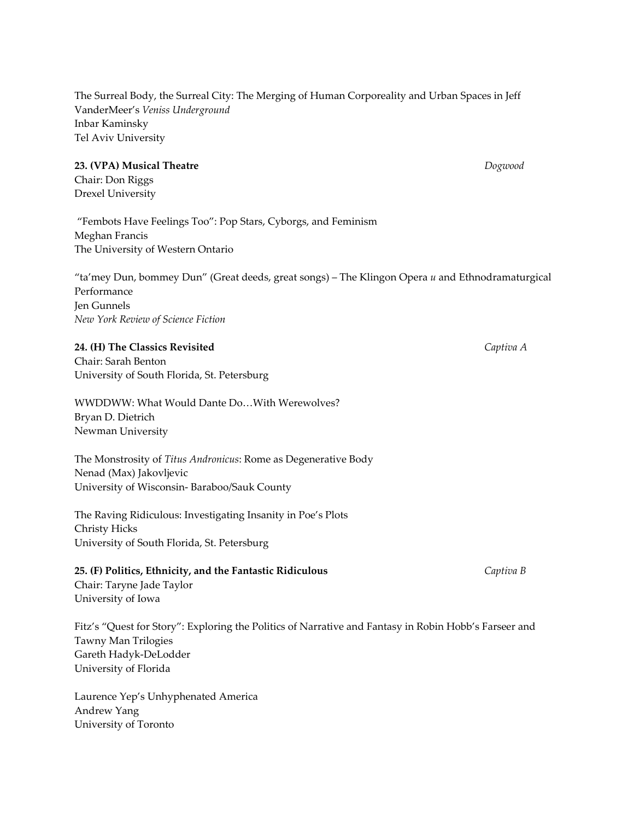The Surreal Body, the Surreal City: The Merging of Human Corporeality and Urban Spaces in Jeff VanderMeer's *Veniss Underground* Inbar Kaminsky Tel Aviv University

#### **23. (VPA) Musical Theatre**  *Dogwood*

Chair: Don Riggs Drexel University

"Fembots Have Feelings Too": Pop Stars, Cyborgs, and Feminism Meghan Francis The University of Western Ontario

"ta'mey Dun, bommey Dun" (Great deeds, great songs) – The Klingon Opera *u* and Ethnodramaturgical Performance Jen Gunnels *New York Review of Science Fiction*

## **24. (H) The Classics Revisited**  *Captiva A*

Chair: Sarah Benton University of South Florida, St. Petersburg

WWDDWW: What Would Dante Do…With Werewolves? Bryan D. Dietrich Newman University

The Monstrosity of *Titus Andronicus*: Rome as Degenerative Body Nenad (Max) Jakovljevic University of Wisconsin‐ Baraboo/Sauk County

The Raving Ridiculous: Investigating Insanity in Poe's Plots Christy Hicks University of South Florida, St. Petersburg

# **25. (F) Politics, Ethnicity, and the Fantastic Ridiculous**  *Captiva B* Chair: Taryne Jade Taylor University of Iowa

Fitz's "Quest for Story": Exploring the Politics of Narrative and Fantasy in Robin Hobb's Farseer and Tawny Man Trilogies Gareth Hadyk‐DeLodder University of Florida

Laurence Yep's Unhyphenated America Andrew Yang University of Toronto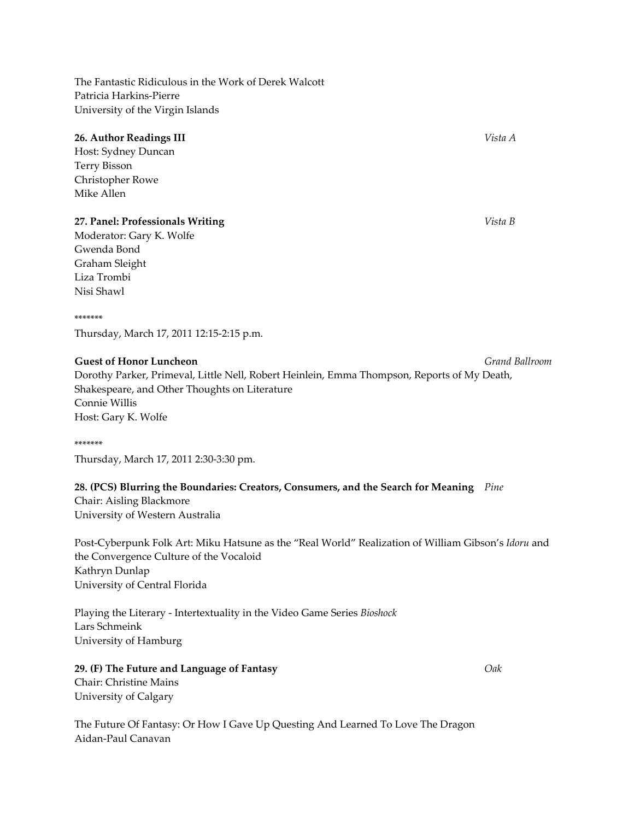The Fantastic Ridiculous in the Work of Derek Walcott Patricia Harkins‐Pierre University of the Virgin Islands

# **26. Author Readings III**  *Vista A*

Host: Sydney Duncan Terry Bisson Christopher Rowe Mike Allen

# **27. Panel: Professionals Writing** *Vista B*

Moderator: Gary K. Wolfe Gwenda Bond Graham Sleight Liza Trombi Nisi Shawl

#### \*\*\*\*\*\*\*

Thursday, March 17, 2011 12:15‐2:15 p.m.

## **Guest of Honor Luncheon** *Grand Ballroom*

Dorothy Parker, Primeval, Little Nell, Robert Heinlein, Emma Thompson, Reports of My Death, Shakespeare, and Other Thoughts on Literature Connie Willis Host: Gary K. Wolfe

\*\*\*\*\*\*\* Thursday, March 17, 2011 2:30‐3:30 pm.

# **28. (PCS) Blurring the Boundaries: Creators, Consumers, and the Search for Meaning** *Pine*

Chair: Aisling Blackmore University of Western Australia

Post‐Cyberpunk Folk Art: Miku Hatsune as the "Real World" Realization of William Gibson's *Idoru* and the Convergence Culture of the Vocaloid Kathryn Dunlap University of Central Florida

Playing the Literary ‐ Intertextuality in the Video Game Series *Bioshock* Lars Schmeink University of Hamburg

**29. (F) The Future and Language of Fantasy**  *Oak* Chair: Christine Mains University of Calgary

The Future Of Fantasy: Or How I Gave Up Questing And Learned To Love The Dragon Aidan‐Paul Canavan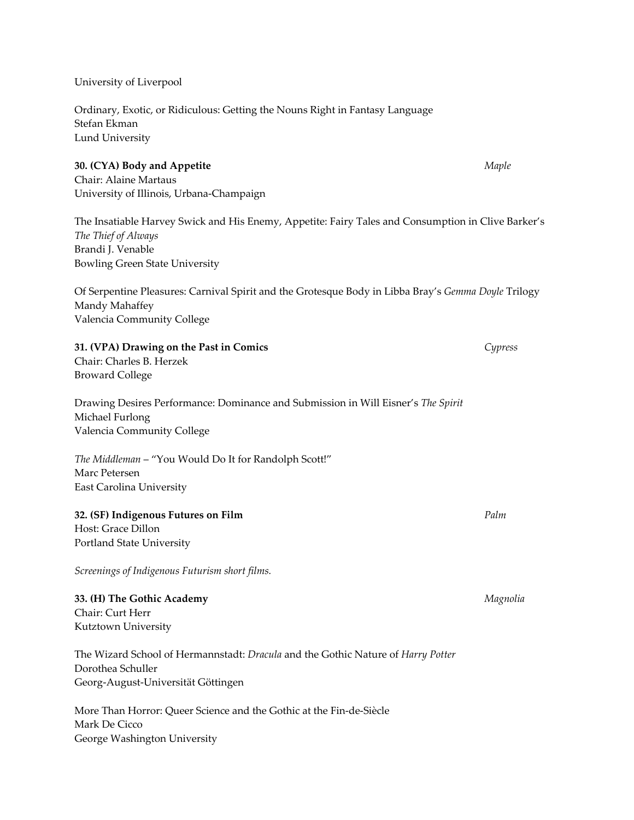University of Liverpool

Ordinary, Exotic, or Ridiculous: Getting the Nouns Right in Fantasy Language Stefan Ekman Lund University

#### **30. (CYA) Body and Appetite**  *Maple*

Chair: Alaine Martaus University of Illinois, Urbana‐Champaign

The Insatiable Harvey Swick and His Enemy, Appetite: Fairy Tales and Consumption in Clive Barker's *The Thief of Always* Brandi J. Venable Bowling Green State University

Of Serpentine Pleasures: Carnival Spirit and the Grotesque Body in Libba Bray's *Gemma Doyle* Trilogy Mandy Mahaffey Valencia Community College

# **31. (VPA) Drawing on the Past in Comics**  *Cypress*

Chair: Charles B. Herzek Broward College

Drawing Desires Performance: Dominance and Submission in Will Eisner's *The Spirit* Michael Furlong Valencia Community College

*The Middleman* – "You Would Do It for Randolph Scott!" Marc Petersen East Carolina University

# **32. (SF) Indigenous Futures on Film** *Palm*

Host: Grace Dillon Portland State University

*Screenings of Indigenous Futurism short films.*

**33. (H) The Gothic Academy**  *Magnolia* Chair: Curt Herr Kutztown University

The Wizard School of Hermannstadt: *Dracula* and the Gothic Nature of *Harry Potter* Dorothea Schuller Georg‐August‐Universität Göttingen

More Than Horror: Queer Science and the Gothic at the Fin‐de‐Siècle Mark De Cicco George Washington University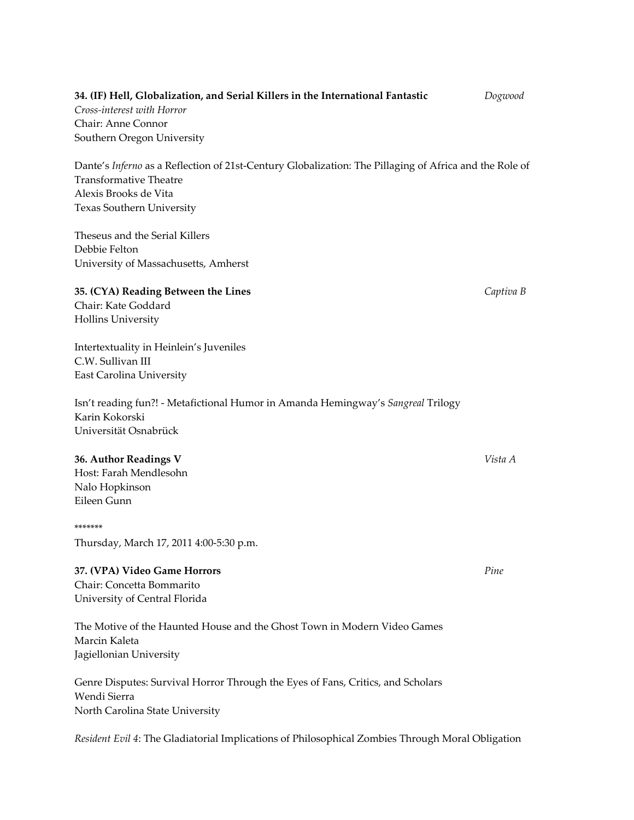# **34. (IF) Hell, Globalization, and Serial Killers in the International Fantastic**  *Dogwood Cross‐interest with Horror* Chair: Anne Connor Southern Oregon University

Dante's *Inferno* as a Reflection of 21st-Century Globalization: The Pillaging of Africa and the Role of Transformative Theatre Alexis Brooks de Vita Texas Southern University

Theseus and the Serial Killers Debbie Felton University of Massachusetts, Amherst

**35. (CYA) Reading Between the Lines** *Captiva B* Chair: Kate Goddard

Intertextuality in Heinlein's Juveniles C.W. Sullivan III East Carolina University

Isn't reading fun?! ‐ Metafictional Humor in Amanda Hemingway's *Sangreal* Trilogy Karin Kokorski Universität Osnabrück

# **36. Author Readings V** *Vista A*

Hollins University

Host: Farah Mendlesohn Nalo Hopkinson Eileen Gunn

#### \*\*\*\*\*\*\*

Thursday, March 17, 2011 4:00‐5:30 p.m.

# **37. (VPA) Video Game Horrors**  *Pine* Chair: Concetta Bommarito

University of Central Florida

The Motive of the Haunted House and the Ghost Town in Modern Video Games Marcin Kaleta Jagiellonian University

Genre Disputes: Survival Horror Through the Eyes of Fans, Critics, and Scholars Wendi Sierra North Carolina State University

*Resident Evil 4*: The Gladiatorial Implications of Philosophical Zombies Through Moral Obligation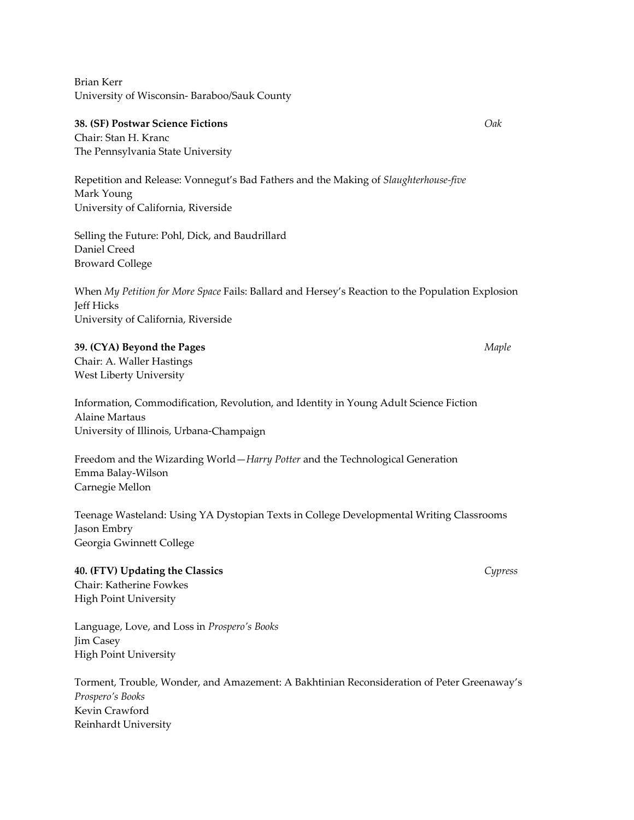Brian Kerr University of Wisconsin‐ Baraboo/Sauk County

#### **38. (SF) Postwar Science Fictions**  *Oak*

Chair: Stan H. Kranc The Pennsylvania State University

Repetition and Release: Vonnegut's Bad Fathers and the Making of *Slaughterhouse‐five* Mark Young University of California, Riverside

Selling the Future: Pohl, Dick, and Baudrillard Daniel Creed Broward College

When *My Petition for More Space* Fails: Ballard and Hersey's Reaction to the Population Explosion Jeff Hicks University of California, Riverside

**39. (CYA) Beyond the Pages** *Maple* Chair: A. Waller Hastings West Liberty University

Information, Commodification, Revolution, and Identity in Young Adult Science Fiction Alaine Martaus University of Illinois, Urbana‐Champaign

Freedom and the Wizarding World—*Harry Potter* and the Technological Generation Emma Balay‐Wilson Carnegie Mellon

Teenage Wasteland: Using YA Dystopian Texts in College Developmental Writing Classrooms Jason Embry Georgia Gwinnett College

#### **40. (FTV) Updating the Classics** *Cypress*

Chair: Katherine Fowkes High Point University

Language, Love, and Loss in *Prospero's Books* Jim Casey High Point University

Torment, Trouble, Wonder, and Amazement: A Bakhtinian Reconsideration of Peter Greenaway's *Prospero's Books* Kevin Crawford Reinhardt University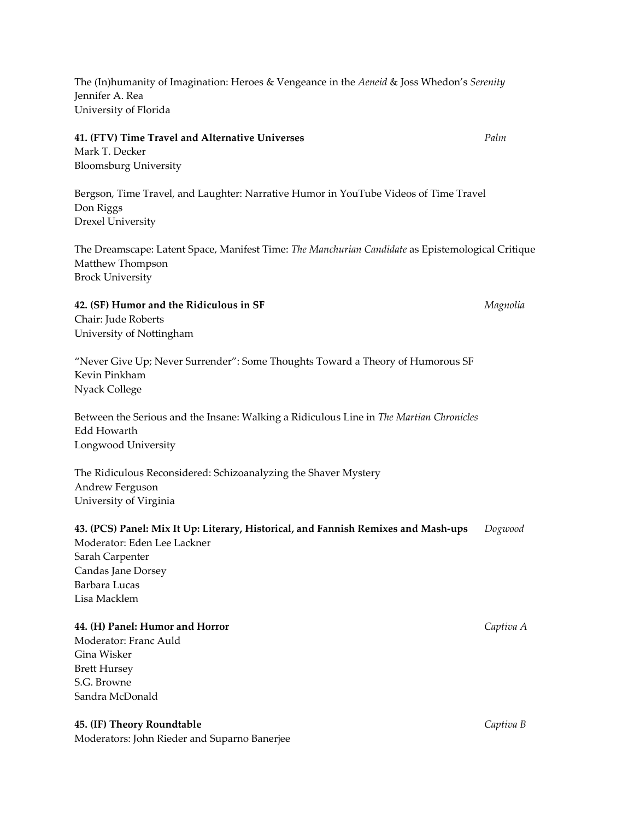The (In)humanity of Imagination: Heroes & Vengeance in the *Aeneid* & Joss Whedon's *Serenity* Jennifer A. Rea University of Florida

#### **41. (FTV) Time Travel and Alternative Universes** *Palm*

Mark T. Decker Bloomsburg University

Bergson, Time Travel, and Laughter: Narrative Humor in YouTube Videos of Time Travel Don Riggs Drexel University

The Dreamscape: Latent Space, Manifest Time: *The Manchurian Candidate* as Epistemological Critique Matthew Thompson Brock University

# **42. (SF) Humor and the Ridiculous in SF** *Magnolia* Chair: Jude Roberts University of Nottingham

"Never Give Up; Never Surrender": Some Thoughts Toward a Theory of Humorous SF Kevin Pinkham Nyack College

Between the Serious and the Insane: Walking a Ridiculous Line in *The Martian Chronicles* Edd Howarth Longwood University

The Ridiculous Reconsidered: Schizoanalyzing the Shaver Mystery Andrew Ferguson University of Virginia

# **43. (PCS) Panel: Mix It Up: Literary, Historical, and Fannish Remixes and Mash‐ups** *Dogwood*

Moderator: Eden Lee Lackner Sarah Carpenter Candas Jane Dorsey Barbara Lucas Lisa Macklem

# **44. (H) Panel: Humor and Horror**  *Captiva A*

Moderator: Franc Auld Gina Wisker Brett Hursey S.G. Browne Sandra McDonald

# **45. (IF) Theory Roundtable**  *Captiva B*

Moderators: John Rieder and Suparno Banerjee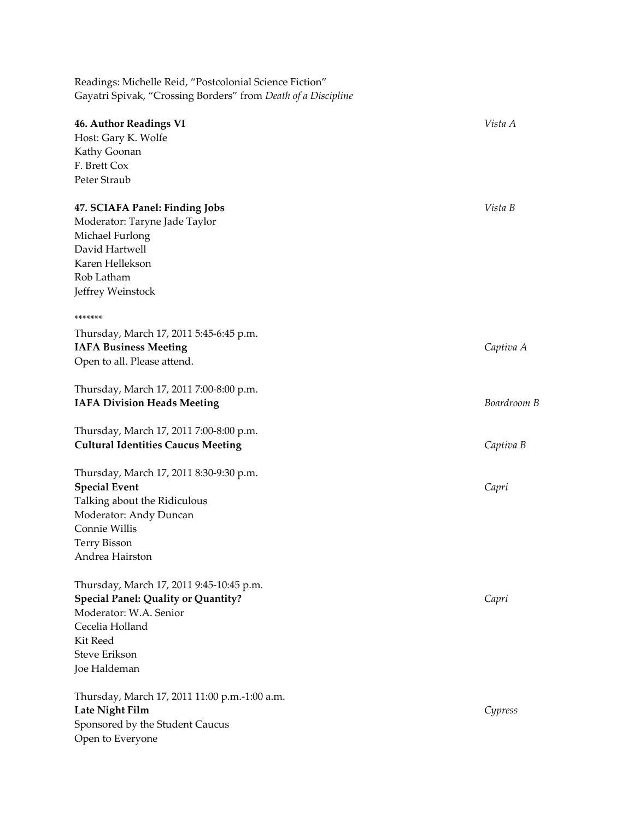Readings: Michelle Reid, "Postcolonial Science Fiction" Gayatri Spivak, "Crossing Borders" from *Death of a Discipline*

| <b>46. Author Readings VI</b>                                        | Vista A     |
|----------------------------------------------------------------------|-------------|
| Host: Gary K. Wolfe                                                  |             |
| Kathy Goonan                                                         |             |
| F. Brett Cox                                                         |             |
| Peter Straub                                                         |             |
|                                                                      |             |
| 47. SCIAFA Panel: Finding Jobs                                       | Vista B     |
| Moderator: Taryne Jade Taylor                                        |             |
| Michael Furlong                                                      |             |
| David Hartwell                                                       |             |
| Karen Hellekson                                                      |             |
| Rob Latham                                                           |             |
| Jeffrey Weinstock                                                    |             |
| *******                                                              |             |
| Thursday, March 17, 2011 5:45-6:45 p.m.                              |             |
| <b>IAFA Business Meeting</b>                                         | Captiva A   |
| Open to all. Please attend.                                          |             |
|                                                                      |             |
| Thursday, March 17, 2011 7:00-8:00 p.m.                              |             |
| <b>IAFA Division Heads Meeting</b>                                   | Boardroom B |
| Thursday, March 17, 2011 7:00-8:00 p.m.                              |             |
| <b>Cultural Identities Caucus Meeting</b>                            | Captiva B   |
|                                                                      |             |
| Thursday, March 17, 2011 8:30-9:30 p.m.                              |             |
| <b>Special Event</b>                                                 | Capri       |
| Talking about the Ridiculous                                         |             |
| Moderator: Andy Duncan                                               |             |
| Connie Willis                                                        |             |
| <b>Terry Bisson</b>                                                  |             |
| Andrea Hairston                                                      |             |
| Thursday, March 17, 2011 9:45-10:45 p.m.                             |             |
|                                                                      |             |
| <b>Special Panel: Quality or Quantity?</b><br>Moderator: W.A. Senior | Capri       |
| Cecelia Holland                                                      |             |
| Kit Reed                                                             |             |
| Steve Erikson                                                        |             |
| Joe Haldeman                                                         |             |
|                                                                      |             |
| Thursday, March 17, 2011 11:00 p.m.-1:00 a.m.                        |             |
| Late Night Film                                                      | Cypress     |
| Sponsored by the Student Caucus                                      |             |
| Open to Everyone                                                     |             |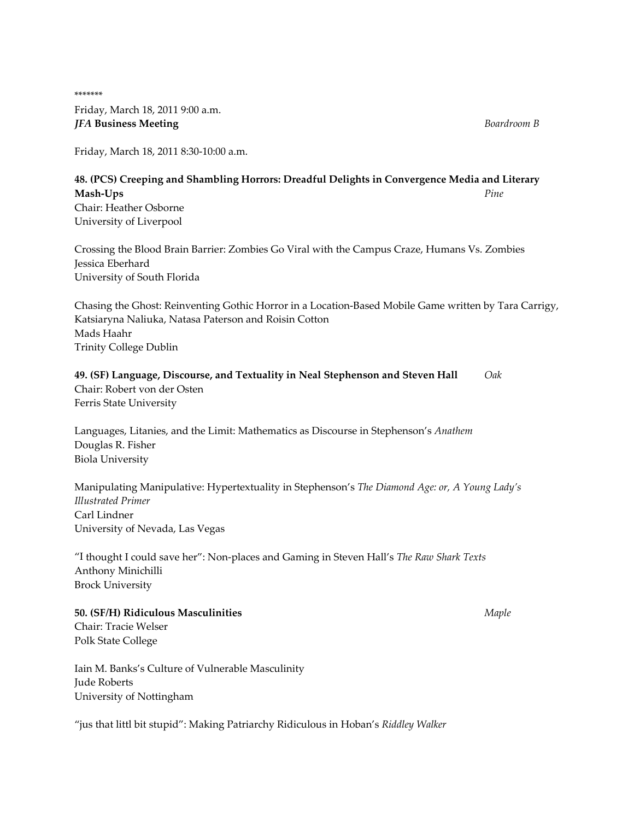\*\*\*\*\*\*\* Friday, March 18, 2011 9:00 a.m. *JFA* **Business Meeting** *Boardroom B*

Friday, March 18, 2011 8:30‐10:00 a.m.

# **48. (PCS) Creeping and Shambling Horrors: Dreadful Delights in Convergence Media and Literary Mash‐Ups**  *Pine* Chair: Heather Osborne University of Liverpool

Crossing the Blood Brain Barrier: Zombies Go Viral with the Campus Craze, Humans Vs. Zombies Jessica Eberhard University of South Florida

Chasing the Ghost: Reinventing Gothic Horror in a Location‐Based Mobile Game written by Tara Carrigy, Katsiaryna Naliuka, Natasa Paterson and Roisin Cotton Mads Haahr Trinity College Dublin

# **49. (SF) Language, Discourse, and Textuality in Neal Stephenson and Steven Hall** *Oak* Chair: Robert von der Osten

Ferris State University

Languages, Litanies, and the Limit: Mathematics as Discourse in Stephenson's *Anathem* Douglas R. Fisher Biola University

Manipulating Manipulative: Hypertextuality in Stephenson's *The Diamond Age: or, A Young Lady's Illustrated Primer* Carl Lindner University of Nevada, Las Vegas

"I thought I could save her": Non‐places and Gaming in Steven Hall's *The Raw Shark Texts* Anthony Minichilli Brock University

# **50. (SF/H) Ridiculous Masculinities**  *Maple*

Chair: Tracie Welser Polk State College

Iain M. Banks's Culture of Vulnerable Masculinity Jude Roberts University of Nottingham

"jus that littl bit stupid": Making Patriarchy Ridiculous in Hoban's *Riddley Walker*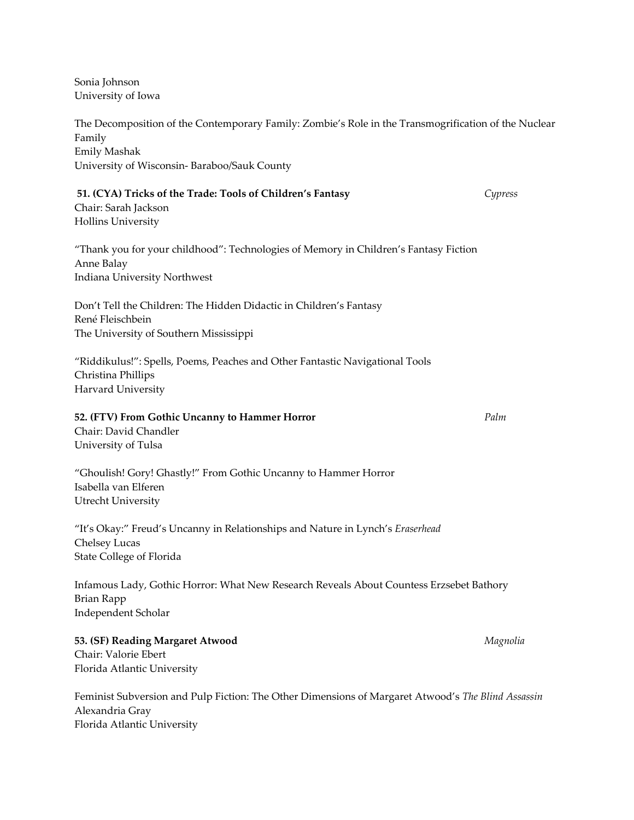Sonia Johnson University of Iowa

The Decomposition of the Contemporary Family: Zombie's Role in the Transmogrification of the Nuclear Family Emily Mashak University of Wisconsin‐ Baraboo/Sauk County **51. (CYA) Tricks of the Trade: Tools of Children's Fantasy**  *Cypress* Chair: Sarah Jackson Hollins University "Thank you for your childhood": Technologies of Memory in Children's Fantasy Fiction Anne Balay Indiana University Northwest Don't Tell the Children: The Hidden Didactic in Children's Fantasy René Fleischbein The University of Southern Mississippi "Riddikulus!": Spells, Poems, Peaches and Other Fantastic Navigational Tools Christina Phillips Harvard University **52. (FTV) From Gothic Uncanny to Hammer Horror**  *Palm* Chair: David Chandler University of Tulsa "Ghoulish! Gory! Ghastly!" From Gothic Uncanny to Hammer Horror Isabella van Elferen Utrecht University "It's Okay:" Freud's Uncanny in Relationships and Nature in Lynch's *Eraserhead* Chelsey Lucas State College of Florida Infamous Lady, Gothic Horror: What New Research Reveals About Countess Erzsebet Bathory Brian Rapp Independent Scholar **53. (SF) Reading Margaret Atwood**  *Magnolia* Chair: Valorie Ebert Florida Atlantic University

Feminist Subversion and Pulp Fiction: The Other Dimensions of Margaret Atwood's *The Blind Assassin* Alexandria Gray Florida Atlantic University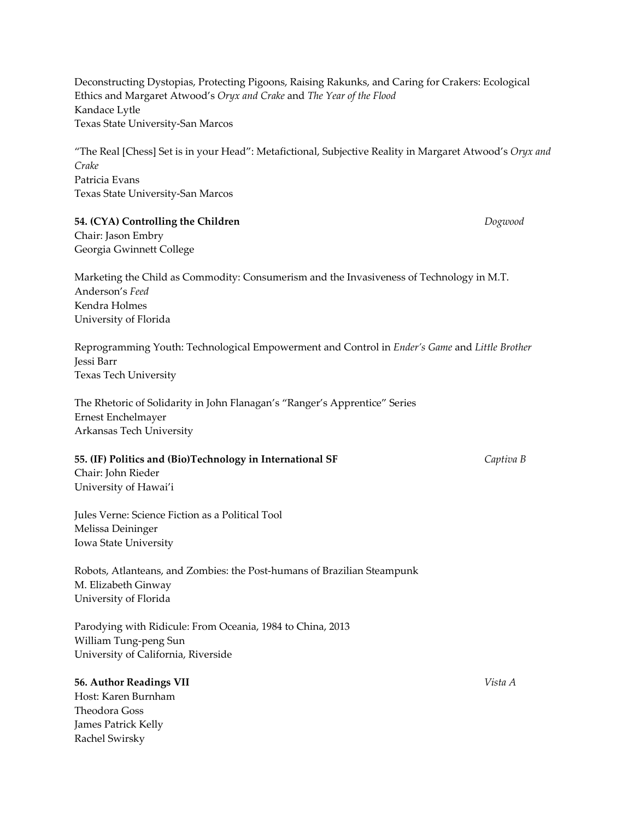Deconstructing Dystopias, Protecting Pigoons, Raising Rakunks, and Caring for Crakers: Ecological Ethics and Margaret Atwood's *Oryx and Crake* and *The Year of the Flood* Kandace Lytle Texas State University‐San Marcos

"The Real [Chess] Set is in your Head": Metafictional, Subjective Reality in Margaret Atwood's *Oryx and Crake* Patricia Evans Texas State University‐San Marcos

### **54. (CYA) Controlling the Children**  *Dogwood*

Chair: Jason Embry Georgia Gwinnett College

Marketing the Child as Commodity: Consumerism and the Invasiveness of Technology in M.T. Anderson's *Feed* Kendra Holmes University of Florida

Reprogramming Youth: Technological Empowerment and Control in *Ender's Game* and *Little Brother* Jessi Barr Texas Tech University

The Rhetoric of Solidarity in John Flanagan's "Ranger's Apprentice" Series Ernest Enchelmayer Arkansas Tech University

#### **55. (IF) Politics and (Bio)Technology in International SF**  *Captiva B*

Chair: John Rieder University of Hawai'i

Jules Verne: Science Fiction as a Political Tool Melissa Deininger Iowa State University

Robots, Atlanteans, and Zombies: the Post‐humans of Brazilian Steampunk M. Elizabeth Ginway University of Florida

Parodying with Ridicule: From Oceania, 1984 to China, 2013 William Tung‐peng Sun University of California, Riverside

## **56. Author Readings VII**  *Vista A*

Host: Karen Burnham Theodora Goss James Patrick Kelly Rachel Swirsky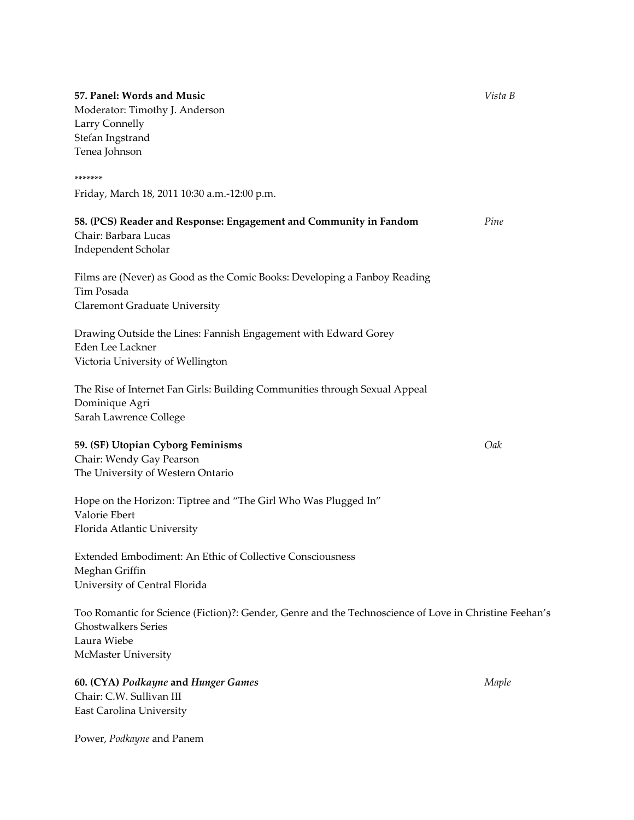**57. Panel: Words and Music** *Vista B* Moderator: Timothy J. Anderson Larry Connelly Stefan Ingstrand Tenea Johnson \*\*\*\*\*\*\* Friday, March 18, 2011 10:30 a.m.‐12:00 p.m. **58. (PCS) Reader and Response: Engagement and Community in Fandom**  *Pine* Chair: Barbara Lucas Independent Scholar Films are (Never) as Good as the Comic Books: Developing a Fanboy Reading Tim Posada Claremont Graduate University Drawing Outside the Lines: Fannish Engagement with Edward Gorey Eden Lee Lackner Victoria University of Wellington The Rise of Internet Fan Girls: Building Communities through Sexual Appeal Dominique Agri Sarah Lawrence College **59. (SF) Utopian Cyborg Feminisms**  *Oak* Chair: Wendy Gay Pearson The University of Western Ontario Hope on the Horizon: Tiptree and "The Girl Who Was Plugged In" Valorie Ebert Florida Atlantic University Extended Embodiment: An Ethic of Collective Consciousness Meghan Griffin University of Central Florida Too Romantic for Science (Fiction)?: Gender, Genre and the Technoscience of Love in Christine Feehan's Ghostwalkers Series Laura Wiebe McMaster University **60. (CYA)** *Podkayne* **and** *Hunger Games Maple* Chair: C.W. Sullivan III East Carolina University

Power, *Podkayne* and Panem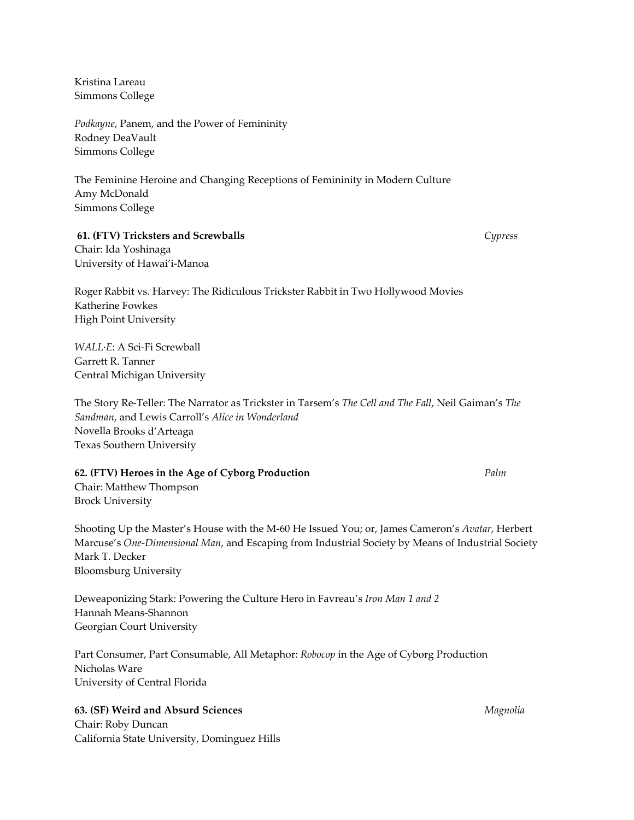Kristina Lareau Simmons College

*Podkayne*, Panem, and the Power of Femininity Rodney DeaVault Simmons College

The Feminine Heroine and Changing Receptions of Femininity in Modern Culture Amy McDonald Simmons College

#### **61. (FTV) Tricksters and Screwballs**  *Cypress*

Chair: Ida Yoshinaga University of Hawai'i‐Manoa

Roger Rabbit vs. Harvey: The Ridiculous Trickster Rabbit in Two Hollywood Movies Katherine Fowkes High Point University

*WALL∙E*: A Sci‐Fi Screwball Garrett R. Tanner Central Michigan University

The Story Re‐Teller: The Narrator as Trickster in Tarsem's *The Cell and The Fall*, Neil Gaiman's *The Sandman*, and Lewis Carroll's *Alice in Wonderland* Novella Brooks d'Arteaga Texas Southern University

#### **62. (FTV) Heroes in the Age of Cyborg Production**  *Palm*

Chair: Matthew Thompson Brock University

Shooting Up the Master's House with the M‐60 He Issued You; or, James Cameron's *Avatar*, Herbert Marcuse's *One‐Dimensional Man*, and Escaping from Industrial Society by Means of Industrial Society Mark T. Decker Bloomsburg University

Deweaponizing Stark: Powering the Culture Hero in Favreau's *Iron Man 1 and 2* Hannah Means‐Shannon Georgian Court University

Part Consumer, Part Consumable, All Metaphor: *Robocop* in the Age of Cyborg Production Nicholas Ware University of Central Florida

## **63. (SF) Weird and Absurd Sciences** *Magnolia*

Chair: Roby Duncan California State University, Dominguez Hills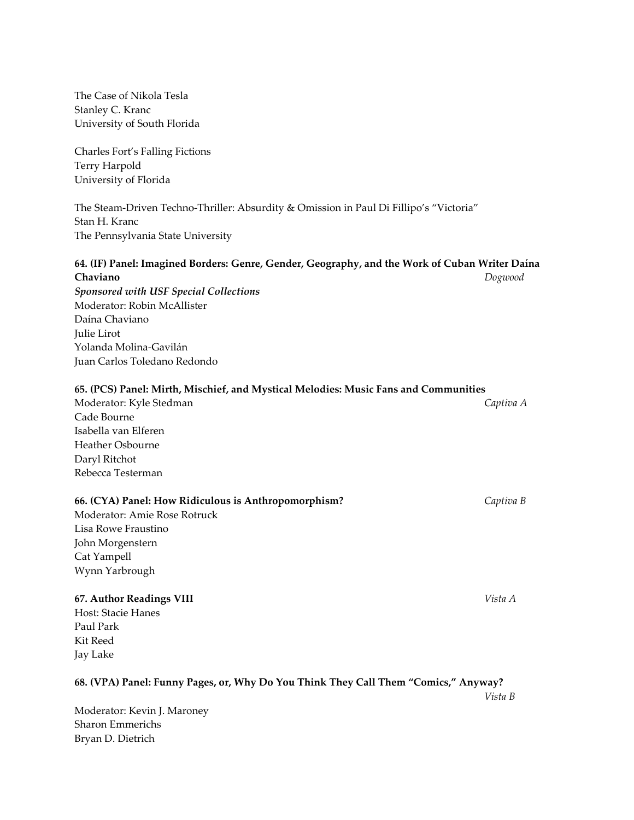| The Case of Nikola Tesla                                                                                   |           |
|------------------------------------------------------------------------------------------------------------|-----------|
| Stanley C. Kranc                                                                                           |           |
| University of South Florida                                                                                |           |
| Charles Fort's Falling Fictions                                                                            |           |
| Terry Harpold                                                                                              |           |
| University of Florida                                                                                      |           |
| The Steam-Driven Techno-Thriller: Absurdity & Omission in Paul Di Fillipo's "Victoria"                     |           |
| Stan H. Kranc                                                                                              |           |
| The Pennsylvania State University                                                                          |           |
| 64. (IF) Panel: Imagined Borders: Genre, Gender, Geography, and the Work of Cuban Writer Daína<br>Chaviano | Dogwood   |
| Sponsored with USF Special Collections                                                                     |           |
| Moderator: Robin McAllister                                                                                |           |
| Daína Chaviano                                                                                             |           |
| Julie Lirot                                                                                                |           |
| Yolanda Molina-Gavilán                                                                                     |           |
| Juan Carlos Toledano Redondo                                                                               |           |
| 65. (PCS) Panel: Mirth, Mischief, and Mystical Melodies: Music Fans and Communities                        |           |
| Moderator: Kyle Stedman                                                                                    | Captiva A |
| Cade Bourne                                                                                                |           |
| Isabella van Elferen                                                                                       |           |
| Heather Osbourne                                                                                           |           |
| Daryl Ritchot                                                                                              |           |
| Rebecca Testerman                                                                                          |           |
| 66. (CYA) Panel: How Ridiculous is Anthropomorphism?                                                       | Captiva B |
| Moderator: Amie Rose Rotruck                                                                               |           |
| Lisa Rowe Fraustino                                                                                        |           |
| John Morgenstern                                                                                           |           |
| Cat Yampell                                                                                                |           |
| Wynn Yarbrough                                                                                             |           |
| <b>67. Author Readings VIII</b>                                                                            | Vista A   |
| Host: Stacie Hanes                                                                                         |           |
| Paul Park                                                                                                  |           |
| Kit Reed                                                                                                   |           |
| Jay Lake                                                                                                   |           |
| 68. (VPA) Panel: Funny Pages, or, Why Do You Think They Call Them "Comics," Anyway?                        | Vista B   |
| Moderator: Kevin J. Maroney                                                                                |           |
| <b>Sharon Emmerichs</b>                                                                                    |           |
| Bryan D. Dietrich                                                                                          |           |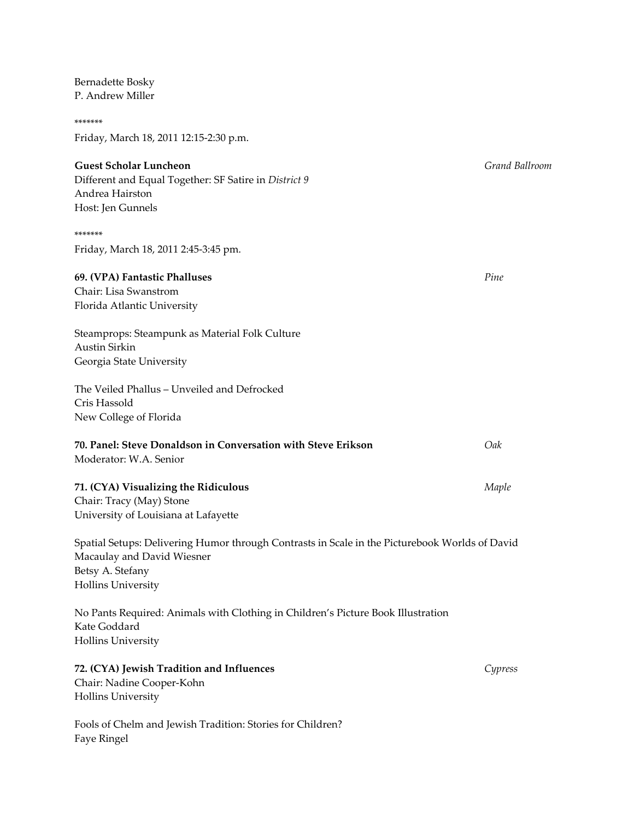| P. Andrew Miller                                                                                                                                                              |                |
|-------------------------------------------------------------------------------------------------------------------------------------------------------------------------------|----------------|
| *******                                                                                                                                                                       |                |
| Friday, March 18, 2011 12:15-2:30 p.m.                                                                                                                                        |                |
| <b>Guest Scholar Luncheon</b><br>Different and Equal Together: SF Satire in District 9<br>Andrea Hairston<br>Host: Jen Gunnels                                                | Grand Ballroom |
| *******                                                                                                                                                                       |                |
| Friday, March 18, 2011 2:45-3:45 pm.                                                                                                                                          |                |
| 69. (VPA) Fantastic Phalluses<br>Chair: Lisa Swanstrom<br>Florida Atlantic University                                                                                         | Pine           |
| Steamprops: Steampunk as Material Folk Culture<br><b>Austin Sirkin</b><br>Georgia State University                                                                            |                |
| The Veiled Phallus - Unveiled and Defrocked<br>Cris Hassold<br>New College of Florida                                                                                         |                |
| 70. Panel: Steve Donaldson in Conversation with Steve Erikson<br>Moderator: W.A. Senior                                                                                       | Oak            |
| 71. (CYA) Visualizing the Ridiculous<br>Chair: Tracy (May) Stone<br>University of Louisiana at Lafayette                                                                      | Maple          |
| Spatial Setups: Delivering Humor through Contrasts in Scale in the Picturebook Worlds of David<br>Macaulay and David Wiesner<br>Betsy A. Stefany<br><b>Hollins University</b> |                |
| No Pants Required: Animals with Clothing in Children's Picture Book Illustration<br>Kate Goddard<br><b>Hollins University</b>                                                 |                |
| 72. (CYA) Jewish Tradition and Influences<br>Chair: Nadine Cooper-Kohn<br><b>Hollins University</b>                                                                           | Cypress        |
| Fools of Chelm and Jewish Tradition: Stories for Children?<br>Faye Ringel                                                                                                     |                |

Bernadette Bosky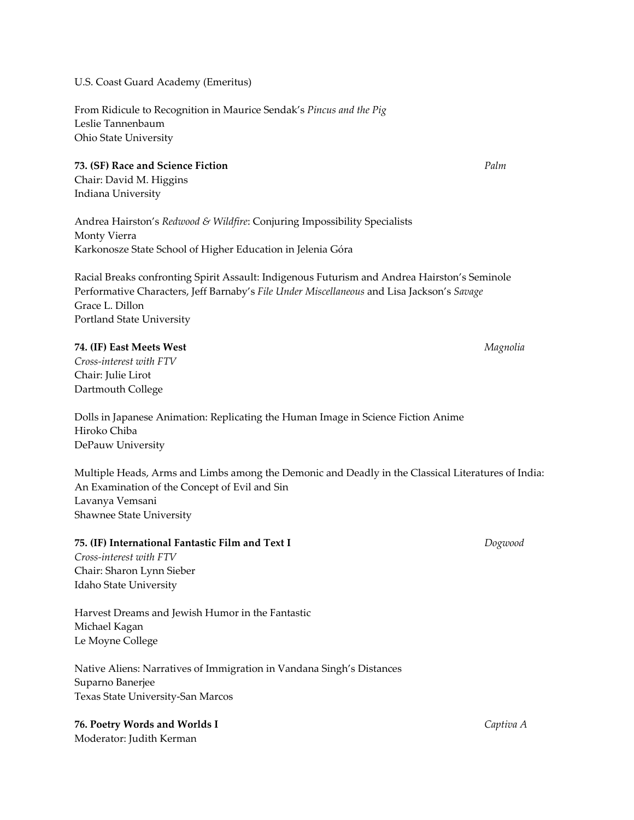U.S. Coast Guard Academy (Emeritus)

From Ridicule to Recognition in Maurice Sendak's *Pincus and the Pig* Leslie Tannenbaum Ohio State University

## **73. (SF) Race and Science Fiction** *Palm*

Chair: David M. Higgins Indiana University

Andrea Hairston's *Redwood & Wildfire*: Conjuring Impossibility Specialists Monty Vierra Karkonosze State School of Higher Education in Jelenia Góra

Racial Breaks confronting Spirit Assault: Indigenous Futurism and Andrea Hairston's Seminole Performative Characters, Jeff Barnaby's *File Under Miscellaneous* and Lisa Jackson's *Savage* Grace L. Dillon Portland State University

## **74. (IF) East Meets West**  *Magnolia*

*Cross‐interest with FTV* Chair: Julie Lirot Dartmouth College

Dolls in Japanese Animation: Replicating the Human Image in Science Fiction Anime Hiroko Chiba DePauw University

Multiple Heads, Arms and Limbs among the Demonic and Deadly in the Classical Literatures of India: An Examination of the Concept of Evil and Sin Lavanya Vemsani Shawnee State University

## **75. (IF) International Fantastic Film and Text I**  *Dogwood*

*Cross‐interest with FTV* Chair: Sharon Lynn Sieber Idaho State University

Harvest Dreams and Jewish Humor in the Fantastic Michael Kagan Le Moyne College

Native Aliens: Narratives of Immigration in Vandana Singh's Distances Suparno Banerjee Texas State University‐San Marcos

**76. Poetry Words and Worlds I** *Captiva A* Moderator: Judith Kerman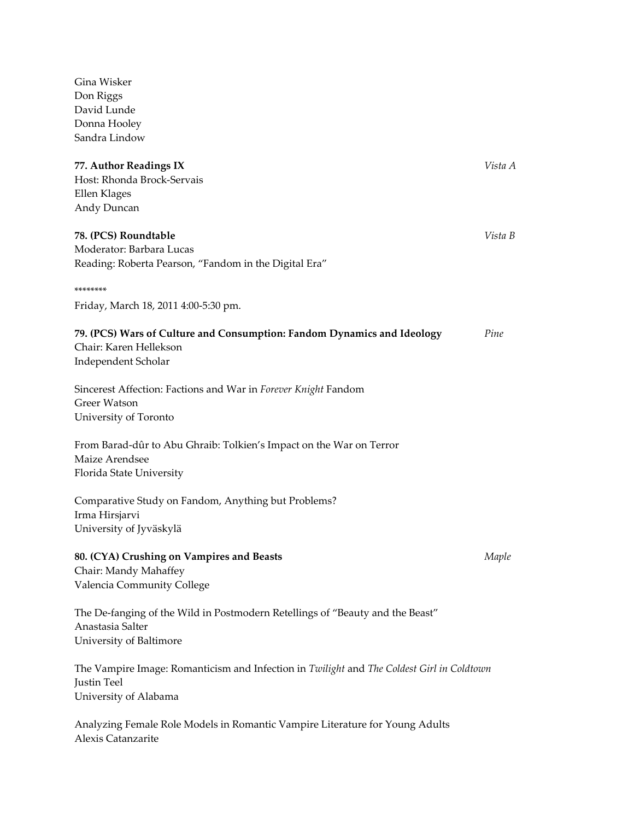| Don Riggs                                                                                 |         |
|-------------------------------------------------------------------------------------------|---------|
| David Lunde                                                                               |         |
| Donna Hooley                                                                              |         |
| Sandra Lindow                                                                             |         |
| 77. Author Readings IX                                                                    | Vista A |
| Host: Rhonda Brock-Servais                                                                |         |
| Ellen Klages                                                                              |         |
| Andy Duncan                                                                               |         |
| 78. (PCS) Roundtable                                                                      | Vista B |
| Moderator: Barbara Lucas                                                                  |         |
| Reading: Roberta Pearson, "Fandom in the Digital Era"                                     |         |
| ********                                                                                  |         |
| Friday, March 18, 2011 4:00-5:30 pm.                                                      |         |
| 79. (PCS) Wars of Culture and Consumption: Fandom Dynamics and Ideology                   | Pine    |
| Chair: Karen Hellekson                                                                    |         |
| Independent Scholar                                                                       |         |
| Sincerest Affection: Factions and War in Forever Knight Fandom                            |         |
| <b>Greer Watson</b>                                                                       |         |
| University of Toronto                                                                     |         |
| From Barad-dûr to Abu Ghraib: Tolkien's Impact on the War on Terror                       |         |
| Maize Arendsee                                                                            |         |
| Florida State University                                                                  |         |
| Comparative Study on Fandom, Anything but Problems?                                       |         |
| Irma Hirsjarvi                                                                            |         |
| University of Jyväskylä                                                                   |         |
| 80. (CYA) Crushing on Vampires and Beasts                                                 | Maple   |
| Chair: Mandy Mahaffey                                                                     |         |
| Valencia Community College                                                                |         |
| The De-fanging of the Wild in Postmodern Retellings of "Beauty and the Beast"             |         |
| Anastasia Salter                                                                          |         |
| University of Baltimore                                                                   |         |
| The Vampire Image: Romanticism and Infection in Twilight and The Coldest Girl in Coldtown |         |
| Justin Teel                                                                               |         |
| University of Alabama                                                                     |         |
| Analyzing Female Role Models in Romantic Vampire Literature for Young Adults              |         |
| Alexis Catanzarite                                                                        |         |

Gina Wisker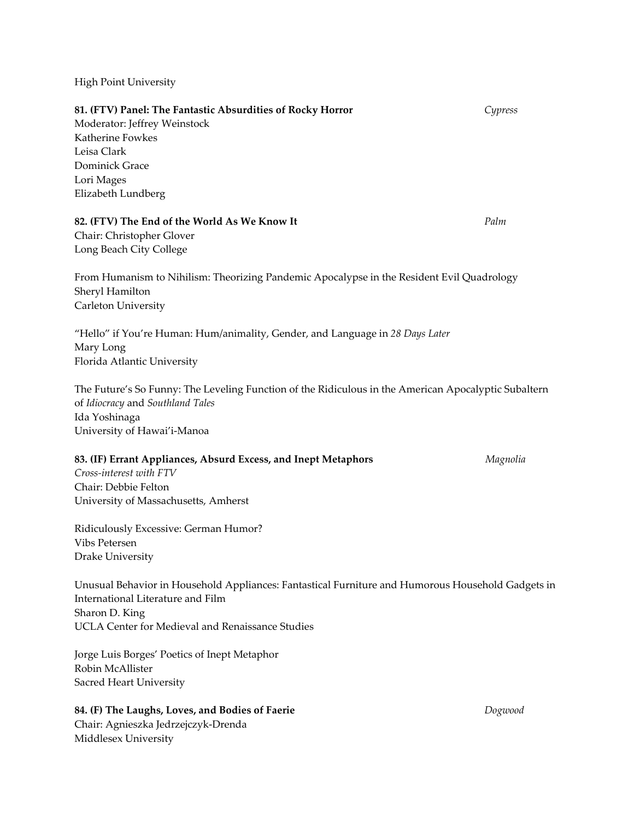High Point University

**81. (FTV) Panel: The Fantastic Absurdities of Rocky Horror** *Cypress* Moderator: Jeffrey Weinstock Katherine Fowkes Leisa Clark Dominick Grace Lori Mages Elizabeth Lundberg **82. (FTV) The End of the World As We Know It**  *Palm* Chair: Christopher Glover Long Beach City College From Humanism to Nihilism: Theorizing Pandemic Apocalypse in the Resident Evil Quadrology Sheryl Hamilton Carleton University "Hello" if You're Human: Hum/animality, Gender, and Language in *28 Days Later* Mary Long Florida Atlantic University The Future's So Funny: The Leveling Function of the Ridiculous in the American Apocalyptic Subaltern of *Idiocracy* and *Southland Tales* Ida Yoshinaga University of Hawai'i‐Manoa **83. (IF) Errant Appliances, Absurd Excess, and Inept Metaphors** *Magnolia Cross‐interest with FTV* Chair: Debbie Felton University of Massachusetts, Amherst Ridiculously Excessive: German Humor? Vibs Petersen Drake University Unusual Behavior in Household Appliances: Fantastical Furniture and Humorous Household Gadgets in International Literature and Film Sharon D. King UCLA Center for Medieval and Renaissance Studies Jorge Luis Borges' Poetics of Inept Metaphor

Robin McAllister Sacred Heart University

# **84. (F) The Laughs, Loves, and Bodies of Faerie** *Dogwood*

Chair: Agnieszka Jedrzejczyk‐Drenda Middlesex University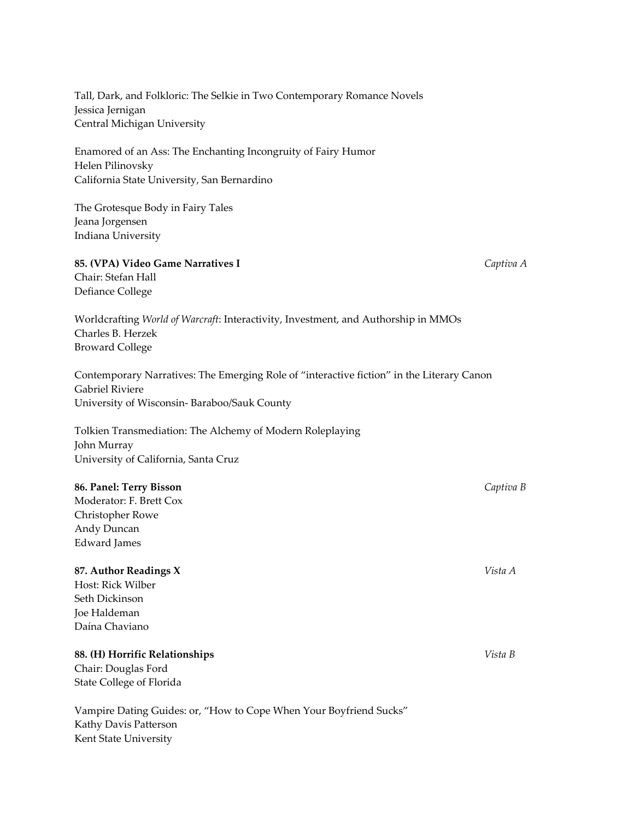Tall, Dark, and Folkloric: The Selkie in Two Contemporary Romance Novels Jessica Jernigan Central Michigan University

Enamored of an Ass: The Enchanting Incongruity of Fairy Humor Helen Pilinovsky California State University, San Bernardino

The Grotesque Body in Fairy Tales Jeana Jorgensen Indiana University

#### **85. (VPA) Video Game Narratives I**  *Captiva A*

Chair: Stefan Hall Defiance College

Worldcrafting *World of Warcraft*: Interactivity, Investment, and Authorship in MMOs Charles B. Herzek Broward College

Contemporary Narratives: The Emerging Role of "interactive fiction" in the Literary Canon Gabriel Riviere University of Wisconsin‐ Baraboo/Sauk County

Tolkien Transmediation: The Alchemy of Modern Roleplaying John Murray University of California, Santa Cruz

## **86. Panel: Terry Bisson** *Captiva B*

Moderator: F. Brett Cox Christopher Rowe Andy Duncan Edward James

#### **87. Author Readings X**  *Vista A*

Host: Rick Wilber Seth Dickinson Joe Haldeman Daína Chaviano

# **88. (H) Horrific Relationships** *Vista B*

Chair: Douglas Ford State College of Florida

Vampire Dating Guides: or, "How to Cope When Your Boyfriend Sucks" Kathy Davis Patterson Kent State University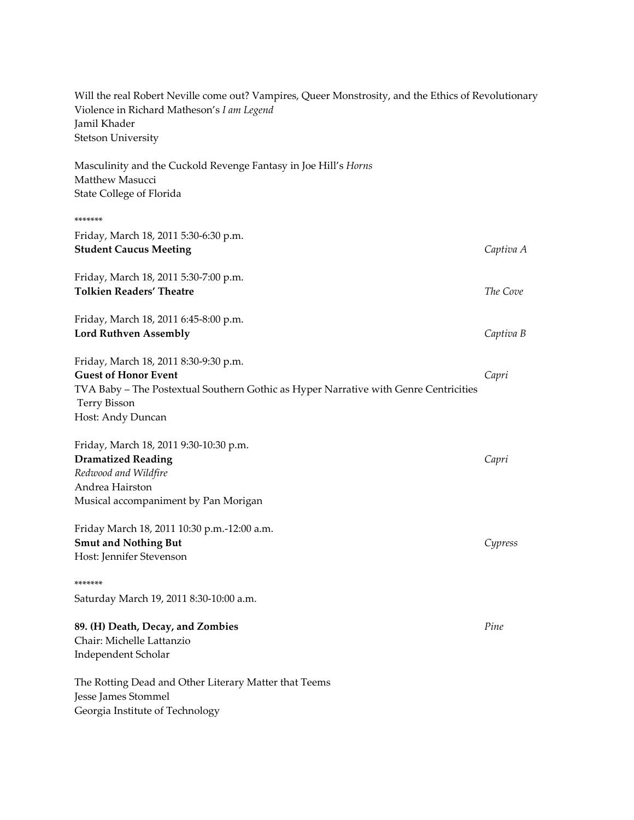| Will the real Robert Neville come out? Vampires, Queer Monstrosity, and the Ethics of Revolutionary<br>Violence in Richard Matheson's I am Legend<br>Jamil Khader<br><b>Stetson University</b>           |           |
|----------------------------------------------------------------------------------------------------------------------------------------------------------------------------------------------------------|-----------|
| Masculinity and the Cuckold Revenge Fantasy in Joe Hill's Horns<br>Matthew Masucci<br>State College of Florida                                                                                           |           |
| *******                                                                                                                                                                                                  |           |
| Friday, March 18, 2011 5:30-6:30 p.m.<br><b>Student Caucus Meeting</b>                                                                                                                                   | Captiva A |
| Friday, March 18, 2011 5:30-7:00 p.m.<br><b>Tolkien Readers' Theatre</b>                                                                                                                                 | The Cove  |
| Friday, March 18, 2011 6:45-8:00 p.m.<br><b>Lord Ruthven Assembly</b>                                                                                                                                    | Captiva B |
| Friday, March 18, 2011 8:30-9:30 p.m.<br><b>Guest of Honor Event</b><br>TVA Baby – The Postextual Southern Gothic as Hyper Narrative with Genre Centricities<br><b>Terry Bisson</b><br>Host: Andy Duncan | Capri     |
| Friday, March 18, 2011 9:30-10:30 p.m.<br><b>Dramatized Reading</b><br>Redwood and Wildfire<br>Andrea Hairston<br>Musical accompaniment by Pan Morigan                                                   | Capri     |
| Friday March 18, 2011 10:30 p.m.-12:00 a.m.<br><b>Smut and Nothing But</b><br>Host: Jennifer Stevenson                                                                                                   | Cypress   |
| *******<br>Saturday March 19, 2011 8:30-10:00 a.m.                                                                                                                                                       |           |
| 89. (H) Death, Decay, and Zombies<br>Chair: Michelle Lattanzio<br>Independent Scholar                                                                                                                    | Pine      |
| The Rotting Dead and Other Literary Matter that Teems<br>Jesse James Stommel<br>Georgia Institute of Technology                                                                                          |           |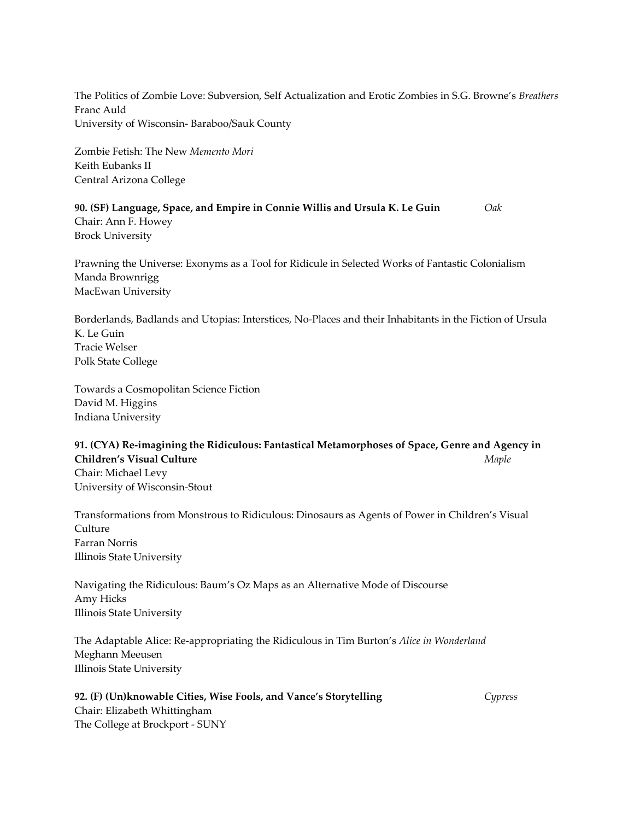The Politics of Zombie Love: Subversion, Self Actualization and Erotic Zombies in S.G. Browne's *Breathers* Franc Auld University of Wisconsin‐ Baraboo/Sauk County

Zombie Fetish: The New *Memento Mori* Keith Eubanks II Central Arizona College

**90. (SF) Language, Space, and Empire in Connie Willis and Ursula K. Le Guin**  *Oak* Chair: Ann F. Howey Brock University

Prawning the Universe: Exonyms as a Tool for Ridicule in Selected Works of Fantastic Colonialism Manda Brownrigg MacEwan University

Borderlands, Badlands and Utopias: Interstices, No‐Places and their Inhabitants in the Fiction of Ursula K. Le Guin Tracie Welser Polk State College

Towards a Cosmopolitan Science Fiction David M. Higgins Indiana University

**91. (CYA) Re‐imagining the Ridiculous: Fantastical Metamorphoses of Space, Genre and Agency in Children's Visual Culture**  *Maple* Chair: Michael Levy University of Wisconsin‐Stout

Transformations from Monstrous to Ridiculous: Dinosaurs as Agents of Power in Children's Visual **Culture** Farran Norris Illinois State University

Navigating the Ridiculous: Baum's Oz Maps as an Alternative Mode of Discourse Amy Hicks Illinois State University

The Adaptable Alice: Re‐appropriating the Ridiculous in Tim Burton's *Alice in Wonderland* Meghann Meeusen Illinois State University

# **92. (F) (Un)knowable Cities, Wise Fools, and Vance's Storytelling**  *Cypress* Chair: Elizabeth Whittingham

The College at Brockport ‐ SUNY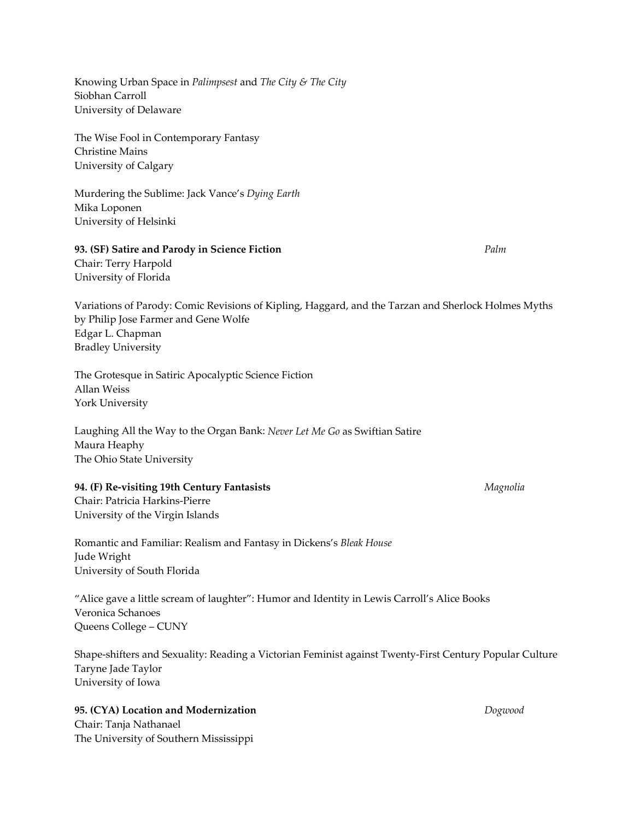Knowing Urban Space in *Palimpsest* and *The City & The City* Siobhan Carroll University of Delaware

The Wise Fool in Contemporary Fantasy Christine Mains University of Calgary

Murdering the Sublime: Jack Vance's *Dying Earth* Mika Loponen University of Helsinki

# **93. (SF) Satire and Parody in Science Fiction**  *Palm*

Chair: Terry Harpold University of Florida

Variations of Parody: Comic Revisions of Kipling, Haggard, and the Tarzan and Sherlock Holmes Myths by Philip Jose Farmer and Gene Wolfe Edgar L. Chapman Bradley University

The Grotesque in Satiric Apocalyptic Science Fiction Allan Weiss York University

Laughing All the Way to the Organ Bank: *Never Let Me Go* as Swiftian Satire Maura Heaphy The Ohio State University

# **94. (F) Re‐visiting 19th Century Fantasists**  *Magnolia*

Chair: Patricia Harkins‐Pierre University of the Virgin Islands

Romantic and Familiar: Realism and Fantasy in Dickens's *Bleak House* Jude Wright University of South Florida

"Alice gave a little scream of laughter": Humor and Identity in Lewis Carroll's Alice Books Veronica Schanoes Queens College – CUNY

Shape‐shifters and Sexuality: Reading a Victorian Feminist against Twenty‐First Century Popular Culture Taryne Jade Taylor University of Iowa

# **95. (CYA) Location and Modernization**  *Dogwood*

Chair: Tanja Nathanael The University of Southern Mississippi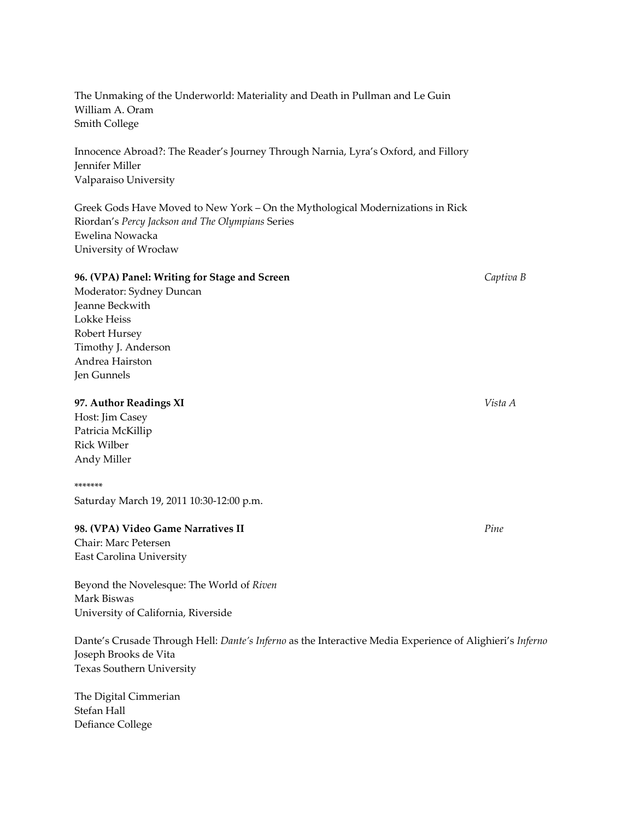The Unmaking of the Underworld: Materiality and Death in Pullman and Le Guin William A. Oram Smith College

Innocence Abroad?: The Reader's Journey Through Narnia, Lyra's Oxford, and Fillory Jennifer Miller Valparaiso University

Greek Gods Have Moved to New York – On the Mythological Modernizations in Rick Riordan's *Percy Jackson and The Olympians* Series Ewelina Nowacka University of Wrocław

#### **96. (VPA) Panel: Writing for Stage and Screen**  *Captiva B*

Moderator: Sydney Duncan Jeanne Beckwith Lokke Heiss Robert Hursey Timothy J. Anderson Andrea Hairston Jen Gunnels

#### **97. Author Readings XI**  *Vista A*

Host: Jim Casey Patricia McKillip Rick Wilber Andy Miller

#### \*\*\*\*\*\*\*

Saturday March 19, 2011 10:30‐12:00 p.m.

# **98. (VPA) Video Game Narratives II**  *Pine*

Chair: Marc Petersen East Carolina University

Beyond the Novelesque: The World of *Riven* Mark Biswas University of California, Riverside

Dante's Crusade Through Hell: *Dante's Inferno* as the Interactive Media Experience of Alighieri's *Inferno* Joseph Brooks de Vita Texas Southern University

The Digital Cimmerian Stefan Hall Defiance College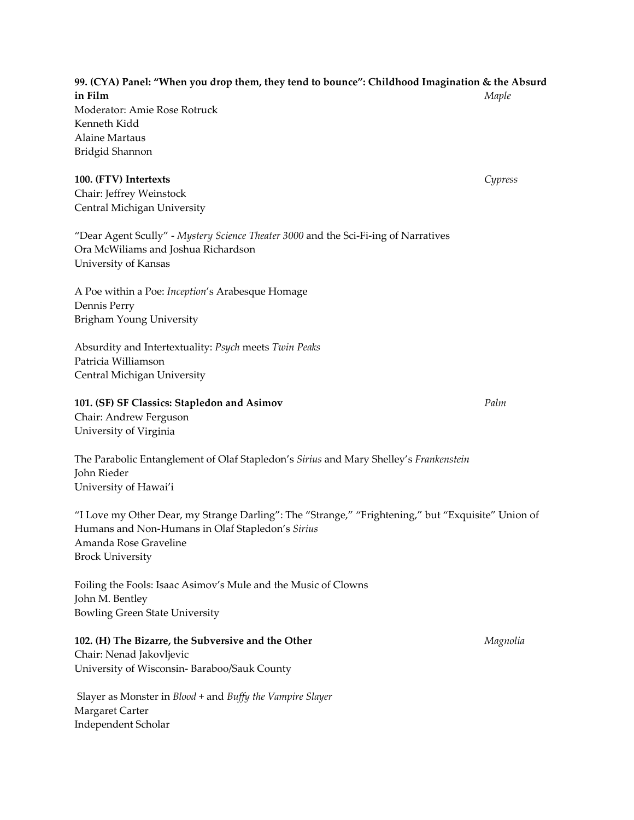**99. (CYA) Panel: "When you drop them, they tend to bounce": Childhood Imagination & the Absurd in Film**  *Maple* Moderator: Amie Rose Rotruck Kenneth Kidd Alaine Martaus Bridgid Shannon

#### **100. (FTV) Intertexts**  *Cypress*

Chair: Jeffrey Weinstock Central Michigan University

"Dear Agent Scully" ‐ *Mystery Science Theater 3000* and the Sci‐Fi‐ing of Narratives Ora McWiliams and Joshua Richardson University of Kansas

A Poe within a Poe: *Inception*'s Arabesque Homage Dennis Perry Brigham Young University

Absurdity and Intertextuality: *Psych* meets *Twin Peaks* Patricia Williamson Central Michigan University

#### **101. (SF) SF Classics: Stapledon and Asimov**  *Palm*

Chair: Andrew Ferguson University of Virginia

The Parabolic Entanglement of Olaf Stapledon's *Sirius* and Mary Shelley's *Frankenstein* John Rieder University of Hawai'i

"I Love my Other Dear, my Strange Darling": The "Strange," "Frightening," but "Exquisite" Union of Humans and Non‐Humans in Olaf Stapledon's *Sirius* Amanda Rose Graveline Brock University

Foiling the Fools: Isaac Asimov's Mule and the Music of Clowns John M. Bentley Bowling Green State University

# **102. (H) The Bizarre, the Subversive and the Other**  *Magnolia*

Chair: Nenad Jakovljevic University of Wisconsin‐ Baraboo/Sauk County

Slayer as Monster in *Blood +* and *Buffy the Vampire Slayer* Margaret Carter Independent Scholar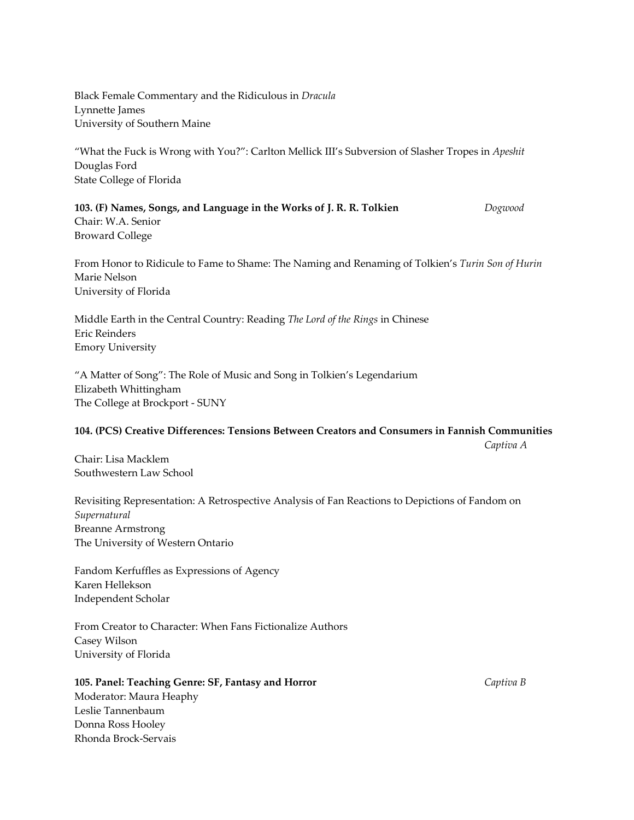Black Female Commentary and the Ridiculous in *Dracula* Lynnette James University of Southern Maine

"What the Fuck is Wrong with You?": Carlton Mellick III's Subversion of Slasher Tropes in *Apeshit* Douglas Ford State College of Florida

**103. (F) Names, Songs, and Language in the Works of J. R. R. Tolkien**  *Dogwood* Chair: W.A. Senior Broward College

From Honor to Ridicule to Fame to Shame: The Naming and Renaming of Tolkien's *Turin Son of Hurin* Marie Nelson University of Florida

Middle Earth in the Central Country: Reading *The Lord of the Rings* in Chinese Eric Reinders Emory University

"A Matter of Song": The Role of Music and Song in Tolkien's Legendarium Elizabeth Whittingham The College at Brockport ‐ SUNY

#### **104. (PCS) Creative Differences: Tensions Between Creators and Consumers in Fannish Communities**

 *Captiva A*

Chair: Lisa Macklem Southwestern Law School

Revisiting Representation: A Retrospective Analysis of Fan Reactions to Depictions of Fandom on *Supernatural* Breanne Armstrong The University of Western Ontario

Fandom Kerfuffles as Expressions of Agency Karen Hellekson Independent Scholar

From Creator to Character: When Fans Fictionalize Authors Casey Wilson University of Florida

# **105. Panel: Teaching Genre: SF, Fantasy and Horror**  *Captiva B*

Moderator: Maura Heaphy Leslie Tannenbaum Donna Ross Hooley Rhonda Brock‐Servais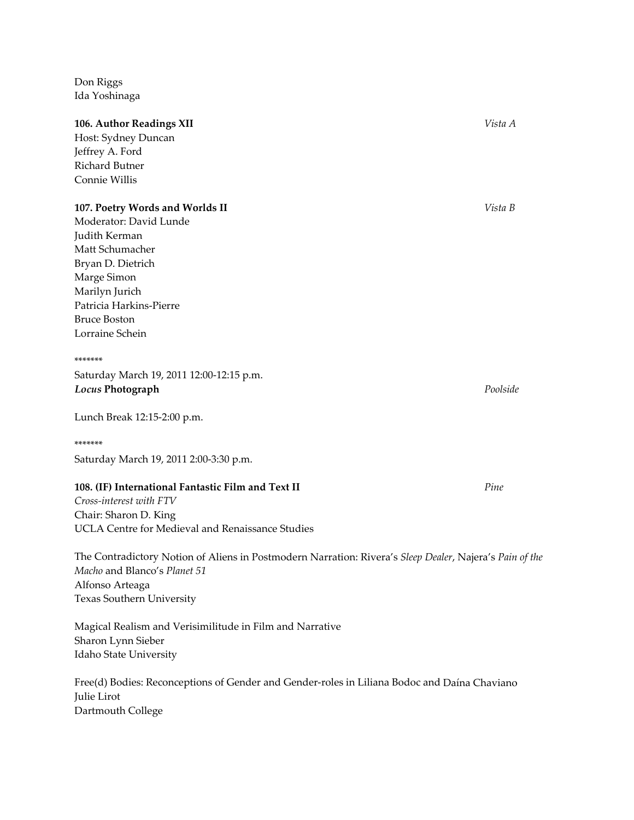Don Riggs Ida Yoshinaga

#### **106. Author Readings XII**  *Vista A*

Host: Sydney Duncan Jeffrey A. Ford Richard Butner Connie Willis

#### **107. Poetry Words and Worlds II** *Vista B*

Moderator: David Lunde Judith Kerman Matt Schumacher Bryan D. Dietrich Marge Simon Marilyn Jurich Patricia Harkins‐Pierre Bruce Boston Lorraine Schein

#### \*\*\*\*\*\*\*

Saturday March 19, 2011 12:00‐12:15 p.m. *Locus* **Photograph** *Poolside*

Lunch Break 12:15‐2:00 p.m.

#### \*\*\*\*\*\*\*

Saturday March 19, 2011 2:00‐3:30 p.m.

# **108. (IF) International Fantastic Film and Text II** *Pine*

*Cross‐interest with FTV* Chair: Sharon D. King UCLA Centre for Medieval and Renaissance Studies

The Contradictory Notion of Aliens in Postmodern Narration: Rivera's *Sleep Dealer*, Najera's *Pain of the Macho* and Blanco's *Planet 51* Alfonso Arteaga Texas Southern University

Magical Realism and Verisimilitude in Film and Narrative Sharon Lynn Sieber Idaho State University

Free(d) Bodies: Reconceptions of Gender and Gender‐roles in Liliana Bodoc and Daína Chaviano Julie Lirot Dartmouth College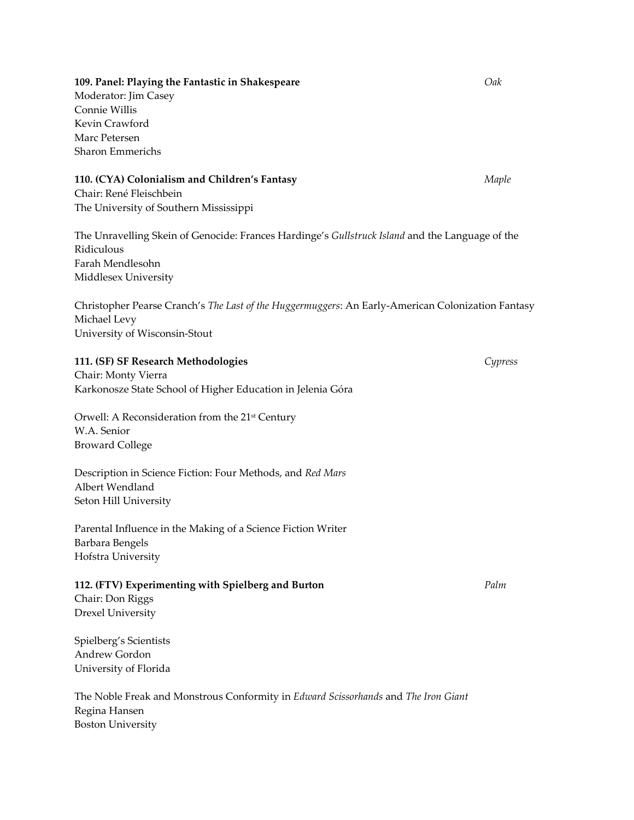## **109. Panel: Playing the Fantastic in Shakespeare** *Oak*

Moderator: Jim Casey Connie Willis Kevin Crawford Marc Petersen Sharon Emmerichs

#### **110. (CYA) Colonialism and Children's Fantasy**  *Maple*

Chair: René Fleischbein The University of Southern Mississippi

The Unravelling Skein of Genocide: Frances Hardinge's *Gullstruck Island* and the Language of the Ridiculous Farah Mendlesohn Middlesex University

Christopher Pearse Cranch's *The Last of the Huggermuggers*: An Early‐American Colonization Fantasy Michael Levy University of Wisconsin‐Stout

## **111. (SF) SF Research Methodologies**  *Cypress*

Chair: Monty Vierra Karkonosze State School of Higher Education in Jelenia Góra

Orwell: A Reconsideration from the 21<sup>st</sup> Century W.A. Senior Broward College

Description in Science Fiction: Four Methods, and *Red Mars* Albert Wendland Seton Hill University

Parental Influence in the Making of a Science Fiction Writer Barbara Bengels Hofstra University

#### **112. (FTV) Experimenting with Spielberg and Burton**  *Palm*

Chair: Don Riggs Drexel University

Spielberg's Scientists Andrew Gordon University of Florida

The Noble Freak and Monstrous Conformity in *Edward Scissorhands* and *The Iron Giant* Regina Hansen Boston University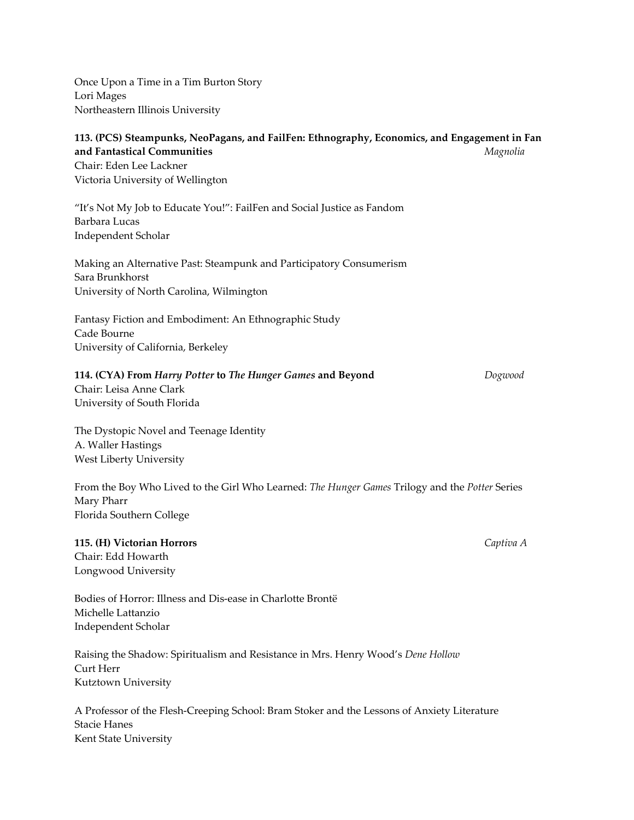| Once Upon a Time in a Tim Burton Story<br>Lori Mages                                                                                                                                        |           |
|---------------------------------------------------------------------------------------------------------------------------------------------------------------------------------------------|-----------|
| Northeastern Illinois University                                                                                                                                                            |           |
| 113. (PCS) Steampunks, NeoPagans, and FailFen: Ethnography, Economics, and Engagement in Fan<br>and Fantastical Communities<br>Chair: Eden Lee Lackner<br>Victoria University of Wellington | Magnolia  |
| "It's Not My Job to Educate You!": FailFen and Social Justice as Fandom<br>Barbara Lucas<br>Independent Scholar                                                                             |           |
| Making an Alternative Past: Steampunk and Participatory Consumerism<br>Sara Brunkhorst<br>University of North Carolina, Wilmington                                                          |           |
| Fantasy Fiction and Embodiment: An Ethnographic Study<br>Cade Bourne<br>University of California, Berkeley                                                                                  |           |
| 114. (CYA) From Harry Potter to The Hunger Games and Beyond<br>Chair: Leisa Anne Clark<br>University of South Florida                                                                       | Dogwood   |
| The Dystopic Novel and Teenage Identity<br>A. Waller Hastings<br><b>West Liberty University</b>                                                                                             |           |
| From the Boy Who Lived to the Girl Who Learned: <i>The Hunger Games</i> Trilogy and the <i>Potter</i> Series<br>Mary Pharr<br>Florida Southern College                                      |           |
| 115. (H) Victorian Horrors<br>Chair: Edd Howarth<br>Longwood University                                                                                                                     | Captiva A |
| Bodies of Horror: Illness and Dis-ease in Charlotte Brontë<br>Michelle Lattanzio<br>Independent Scholar                                                                                     |           |
|                                                                                                                                                                                             |           |

Raising the Shadow: Spiritualism and Resistance in Mrs. Henry Wood's *Dene Hollow* Curt Herr Kutztown University

A Professor of the Flesh‐Creeping School: Bram Stoker and the Lessons of Anxiety Literature Stacie Hanes Kent State University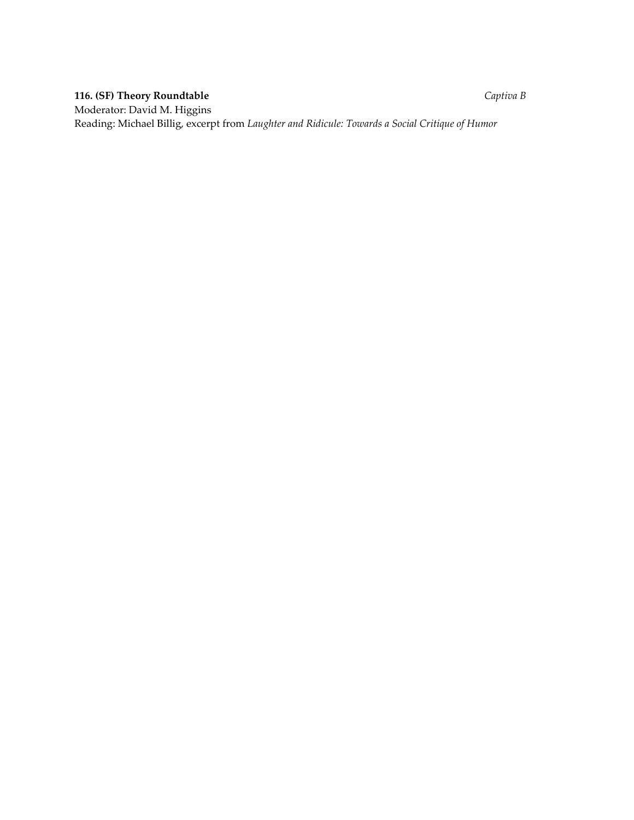# **116. (SF) Theory Roundtable**  *Captiva B*

Moderator: David M. Higgins Reading: Michael Billig, excerpt from *Laughter and Ridicule: Towards a Social Critique of Humor*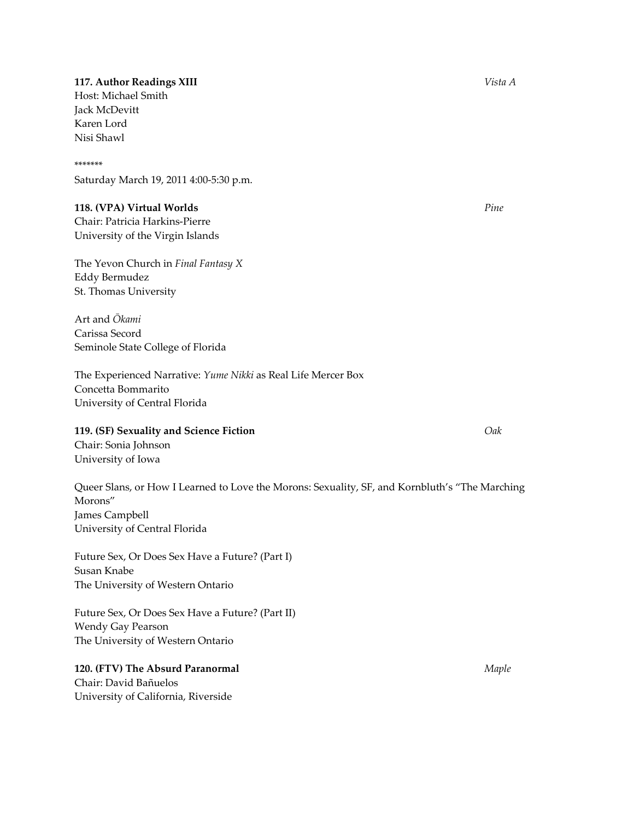# **117. Author Readings XIII**  *Vista A*

Host: Michael Smith Jack McDevitt Karen Lord Nisi Shawl

#### \*\*\*\*\*\*\*

Saturday March 19, 2011 4:00‐5:30 p.m.

## **118. (VPA) Virtual Worlds** *Pine*

Chair: Patricia Harkins‐Pierre University of the Virgin Islands

The Yevon Church in *Final Fantasy X* Eddy Bermudez St. Thomas University

Art and *Ōkami* Carissa Secord Seminole State College of Florida

The Experienced Narrative: *Yume Nikki* as Real Life Mercer Box Concetta Bommarito University of Central Florida

**119. (SF) Sexuality and Science Fiction** *Oak*

Chair: Sonia Johnson University of Iowa

Queer Slans, or How I Learned to Love the Morons: Sexuality, SF, and Kornbluth's "The Marching Morons" James Campbell University of Central Florida

Future Sex, Or Does Sex Have a Future? (Part I) Susan Knabe The University of Western Ontario

Future Sex, Or Does Sex Have a Future? (Part II) Wendy Gay Pearson The University of Western Ontario

# **120. (FTV) The Absurd Paranormal** *Maple*

Chair: David Bañuelos University of California, Riverside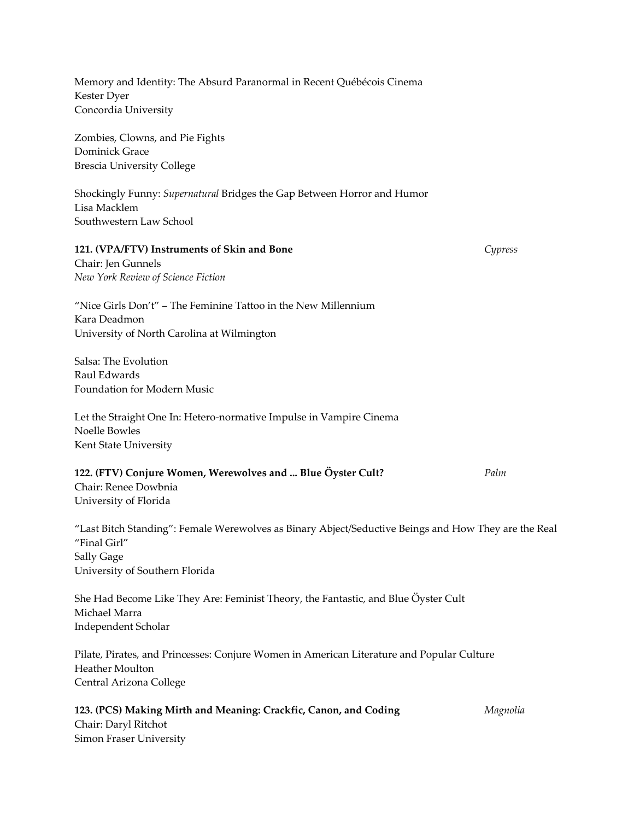| Memory and Identity: The Absurd Paranormal in Recent Québécois Cinema<br>Kester Dyer<br>Concordia University                                                         |          |
|----------------------------------------------------------------------------------------------------------------------------------------------------------------------|----------|
| Zombies, Clowns, and Pie Fights<br>Dominick Grace<br><b>Brescia University College</b>                                                                               |          |
| Shockingly Funny: Supernatural Bridges the Gap Between Horror and Humor<br>Lisa Macklem<br>Southwestern Law School                                                   |          |
| 121. (VPA/FTV) Instruments of Skin and Bone<br>Chair: Jen Gunnels<br>New York Review of Science Fiction                                                              | Cypress  |
| "Nice Girls Don't" - The Feminine Tattoo in the New Millennium<br>Kara Deadmon<br>University of North Carolina at Wilmington                                         |          |
| Salsa: The Evolution<br>Raul Edwards<br>Foundation for Modern Music                                                                                                  |          |
| Let the Straight One In: Hetero-normative Impulse in Vampire Cinema<br>Noelle Bowles<br>Kent State University                                                        |          |
| 122. (FTV) Conjure Women, Werewolves and  Blue Öyster Cult?<br>Chair: Renee Dowbnia<br>University of Florida                                                         | Palm     |
| "Last Bitch Standing": Female Werewolves as Binary Abject/Seductive Beings and How They are the Real<br>"Final Girl"<br>Sally Gage<br>University of Southern Florida |          |
| She Had Become Like They Are: Feminist Theory, the Fantastic, and Blue Öyster Cult<br>Michael Marra<br>Independent Scholar                                           |          |
| Pilate, Pirates, and Princesses: Conjure Women in American Literature and Popular Culture<br>Heather Moulton<br>Central Arizona College                              |          |
| 123. (PCS) Making Mirth and Meaning: Crackfic, Canon, and Coding<br>Chair: Daryl Ritchot<br>Simon Fraser University                                                  | Magnolia |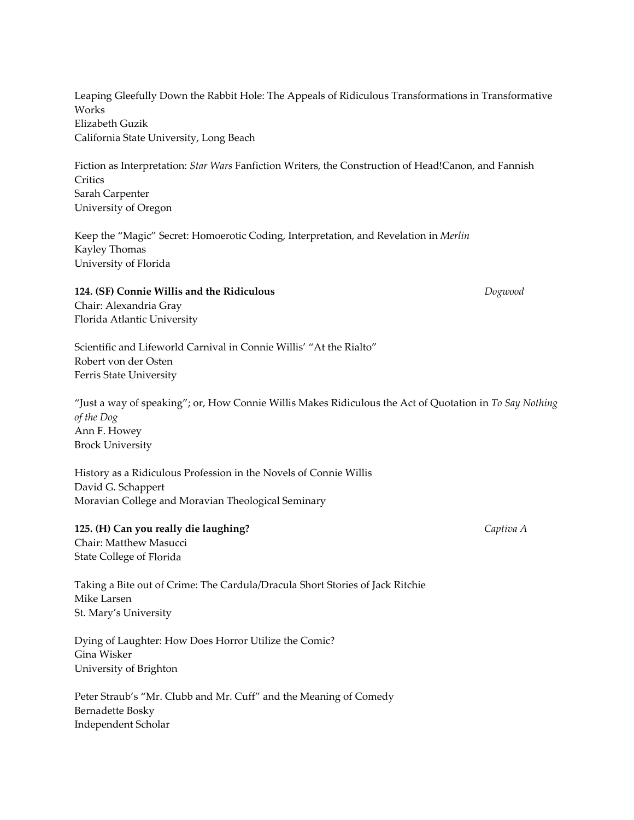Leaping Gleefully Down the Rabbit Hole: The Appeals of Ridiculous Transformations in Transformative Works Elizabeth Guzik California State University, Long Beach

Fiction as Interpretation: *Star Wars* Fanfiction Writers, the Construction of Head!Canon, and Fannish Critics Sarah Carpenter University of Oregon

Keep the "Magic" Secret: Homoerotic Coding, Interpretation, and Revelation in *Merlin* Kayley Thomas University of Florida

# **124. (SF) Connie Willis and the Ridiculous**  *Dogwood*

Chair: Alexandria Gray Florida Atlantic University

Scientific and Lifeworld Carnival in Connie Willis' "At the Rialto" Robert von der Osten Ferris State University

"Just a way of speaking"; or, How Connie Willis Makes Ridiculous the Act of Quotation in *To Say Nothing of the Dog* Ann F. Howey Brock University

History as a Ridiculous Profession in the Novels of Connie Willis David G. Schappert Moravian College and Moravian Theological Seminary

## **125. (H) Can you really die laughing?** *Captiva A*

Chair: Matthew Masucci State College of Florida

Taking a Bite out of Crime: The Cardula/Dracula Short Stories of Jack Ritchie Mike Larsen St. Mary's University

Dying of Laughter: How Does Horror Utilize the Comic? Gina Wisker University of Brighton

Peter Straub's "Mr. Clubb and Mr. Cuff" and the Meaning of Comedy Bernadette Bosky Independent Scholar